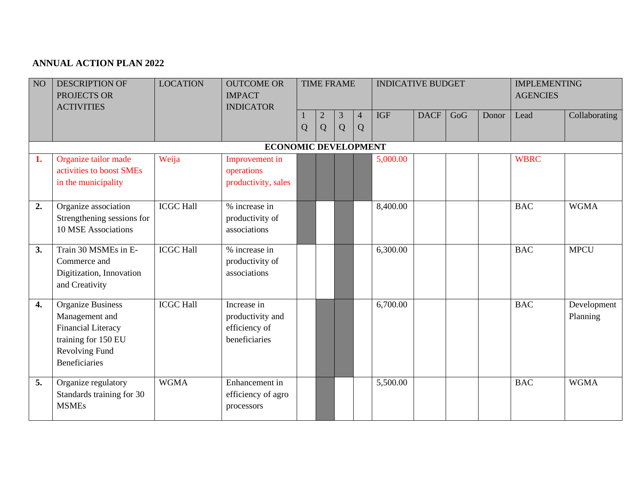## **ANNUAL ACTION PLAN 2022**

| NO <sub>1</sub>    | <b>DESCRIPTION OF</b><br>PROJECTS OR<br><b>ACTIVITIES</b>                                                                                | <b>LOCATION</b>  | <b>OUTCOME OR</b><br><b>IMPACT</b><br><b>INDICATOR</b>            | Q | $\overline{2}$<br>Q | <b>TIME FRAME</b><br>$\mathfrak{Z}$<br>Q | $\overline{4}$<br>Q | <b>INDICATIVE BUDGET</b><br><b>IGF</b> | <b>DACF</b> | GoG | Donor | <b>IMPLEMENTING</b><br><b>AGENCIES</b><br>Lead | Collaborating           |
|--------------------|------------------------------------------------------------------------------------------------------------------------------------------|------------------|-------------------------------------------------------------------|---|---------------------|------------------------------------------|---------------------|----------------------------------------|-------------|-----|-------|------------------------------------------------|-------------------------|
|                    |                                                                                                                                          |                  | <b>ECONOMIC DEVELOPMENT</b>                                       |   |                     |                                          |                     |                                        |             |     |       |                                                |                         |
| 1.                 | Organize tailor made<br>activities to boost SMEs<br>in the municipality                                                                  | Weija            | Improvement in<br>operations<br>productivity, sales               |   |                     |                                          |                     | 5,000.00                               |             |     |       | <b>WBRC</b>                                    |                         |
| 2.                 | Organize association<br>Strengthening sessions for<br>10 MSE Associations                                                                | <b>ICGC Hall</b> | % increase in<br>productivity of<br>associations                  |   |                     |                                          |                     | 8,400.00                               |             |     |       | <b>BAC</b>                                     | <b>WGMA</b>             |
| 3.                 | Train 30 MSMEs in E-<br>Commerce and<br>Digitization, Innovation<br>and Creativity                                                       | <b>ICGC Hall</b> | % increase in<br>productivity of<br>associations                  |   |                     |                                          |                     | 6,300.00                               |             |     |       | <b>BAC</b>                                     | <b>MPCU</b>             |
| $\boldsymbol{4}$ . | <b>Organize Business</b><br>Management and<br><b>Financial Literacy</b><br>training for 150 EU<br>Revolving Fund<br><b>Beneficiaries</b> | <b>ICGC Hall</b> | Increase in<br>productivity and<br>efficiency of<br>beneficiaries |   |                     |                                          |                     | 6,700.00                               |             |     |       | <b>BAC</b>                                     | Development<br>Planning |
| 5.                 | Organize regulatory<br>Standards training for 30<br><b>MSMEs</b>                                                                         | <b>WGMA</b>      | Enhancement in<br>efficiency of agro<br>processors                |   |                     |                                          |                     | 5,500.00                               |             |     |       | <b>BAC</b>                                     | <b>WGMA</b>             |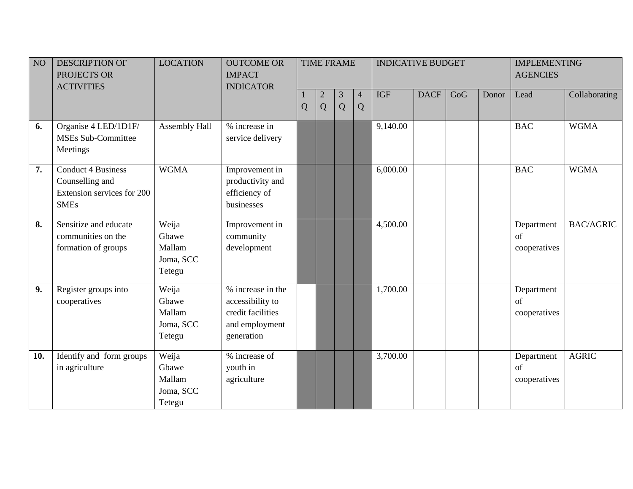| $\overline{NO}$ | <b>DESCRIPTION OF</b><br>PROJECTS OR<br><b>ACTIVITIES</b>                                 | <b>LOCATION</b>                                 | <b>OUTCOME OR</b><br><b>IMPACT</b><br><b>INDICATOR</b>                                     |   | <b>TIME FRAME</b>   |        |                     | <b>INDICATIVE BUDGET</b> |             |     |       | <b>IMPLEMENTING</b><br><b>AGENCIES</b> |                  |
|-----------------|-------------------------------------------------------------------------------------------|-------------------------------------------------|--------------------------------------------------------------------------------------------|---|---------------------|--------|---------------------|--------------------------|-------------|-----|-------|----------------------------------------|------------------|
|                 |                                                                                           |                                                 |                                                                                            | Q | $\overline{2}$<br>Q | 3<br>Q | $\overline{4}$<br>Q | <b>IGF</b>               | <b>DACF</b> | GoG | Donor | Lead                                   | Collaborating    |
| 6.              | Organise 4 LED/1D1F/<br><b>MSEs Sub-Committee</b><br>Meetings                             | Assembly Hall                                   | % increase in<br>service delivery                                                          |   |                     |        |                     | 9,140.00                 |             |     |       | <b>BAC</b>                             | <b>WGMA</b>      |
| 7.              | <b>Conduct 4 Business</b><br>Counselling and<br>Extension services for 200<br><b>SMEs</b> | <b>WGMA</b>                                     | Improvement in<br>productivity and<br>efficiency of<br>businesses                          |   |                     |        |                     | 6,000.00                 |             |     |       | <b>BAC</b>                             | <b>WGMA</b>      |
| 8.              | Sensitize and educate<br>communities on the<br>formation of groups                        | Weija<br>Gbawe<br>Mallam<br>Joma, SCC<br>Tetegu | Improvement in<br>community<br>development                                                 |   |                     |        |                     | 4,500.00                 |             |     |       | Department<br>of<br>cooperatives       | <b>BAC/AGRIC</b> |
| 9.              | Register groups into<br>cooperatives                                                      | Weija<br>Gbawe<br>Mallam<br>Joma, SCC<br>Tetegu | % increase in the<br>accessibility to<br>credit facilities<br>and employment<br>generation |   |                     |        |                     | 1,700.00                 |             |     |       | Department<br>of<br>cooperatives       |                  |
| 10.             | Identify and form groups<br>in agriculture                                                | Weija<br>Gbawe<br>Mallam<br>Joma, SCC<br>Tetegu | % increase of<br>youth in<br>agriculture                                                   |   |                     |        |                     | 3,700.00                 |             |     |       | Department<br>of<br>cooperatives       | <b>AGRIC</b>     |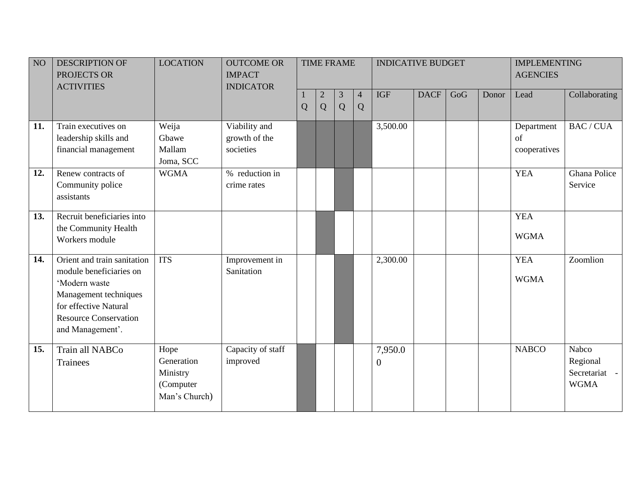| NO  | <b>DESCRIPTION OF</b><br>PROJECTS OR<br><b>ACTIVITIES</b>                                                                                                                     | <b>LOCATION</b>                                              | <b>OUTCOME OR</b><br><b>IMPACT</b><br><b>INDICATOR</b> |   |                   | <b>TIME FRAME</b>   |                     | <b>INDICATIVE BUDGET</b> |             |     |       | <b>IMPLEMENTING</b><br><b>AGENCIES</b> |                                                   |
|-----|-------------------------------------------------------------------------------------------------------------------------------------------------------------------------------|--------------------------------------------------------------|--------------------------------------------------------|---|-------------------|---------------------|---------------------|--------------------------|-------------|-----|-------|----------------------------------------|---------------------------------------------------|
|     |                                                                                                                                                                               |                                                              |                                                        | Q | $\mathbf{2}$<br>Q | $\overline{3}$<br>Q | $\overline{4}$<br>Q | <b>IGF</b>               | <b>DACF</b> | GoG | Donor | Lead                                   | Collaborating                                     |
| 11. | Train executives on<br>leadership skills and<br>financial management                                                                                                          | Weija<br>Gbawe<br>Mallam<br>Joma, SCC                        | Viability and<br>growth of the<br>societies            |   |                   |                     |                     | 3,500.00                 |             |     |       | Department<br>of<br>cooperatives       | <b>BAC/CUA</b>                                    |
| 12. | Renew contracts of<br>Community police<br>assistants                                                                                                                          | <b>WGMA</b>                                                  | % reduction in<br>crime rates                          |   |                   |                     |                     |                          |             |     |       | <b>YEA</b>                             | Ghana Police<br>Service                           |
| 13. | Recruit beneficiaries into<br>the Community Health<br>Workers module                                                                                                          |                                                              |                                                        |   |                   |                     |                     |                          |             |     |       | <b>YEA</b><br><b>WGMA</b>              |                                                   |
| 14. | Orient and train sanitation<br>module beneficiaries on<br>'Modern waste<br>Management techniques<br>for effective Natural<br><b>Resource Conservation</b><br>and Management'. | <b>ITS</b>                                                   | Improvement in<br>Sanitation                           |   |                   |                     |                     | 2,300.00                 |             |     |       | <b>YEA</b><br><b>WGMA</b>              | Zoomlion                                          |
| 15. | Train all NABCo<br>Trainees                                                                                                                                                   | Hope<br>Generation<br>Ministry<br>(Computer<br>Man's Church) | Capacity of staff<br>improved                          |   |                   |                     |                     | 7,950.0<br>0             |             |     |       | <b>NABCO</b>                           | Nabco<br>Regional<br>Secretariat -<br><b>WGMA</b> |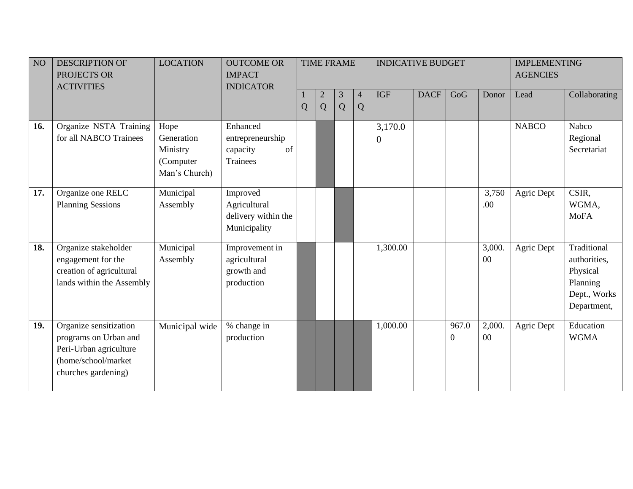| NO <sub>1</sub> | <b>DESCRIPTION OF</b><br>PROJECTS OR<br><b>ACTIVITIES</b>                                                               | <b>LOCATION</b>                                              | <b>OUTCOME OR</b><br><b>IMPACT</b><br><b>INDICATOR</b>          |   |                   | <b>TIME FRAME</b> |        | <b>INDICATIVE BUDGET</b>    |             |                         |                  | <b>IMPLEMENTING</b><br><b>AGENCIES</b> |                                                                                    |
|-----------------|-------------------------------------------------------------------------------------------------------------------------|--------------------------------------------------------------|-----------------------------------------------------------------|---|-------------------|-------------------|--------|-----------------------------|-------------|-------------------------|------------------|----------------------------------------|------------------------------------------------------------------------------------|
|                 |                                                                                                                         |                                                              |                                                                 | Q | $\mathbf{2}$<br>Q | 3<br>Q            | 4<br>Q | <b>IGF</b>                  | <b>DACF</b> | GoG                     | Donor            | Lead                                   | Collaborating                                                                      |
| 16.             | Organize NSTA Training<br>for all NABCO Trainees                                                                        | Hope<br>Generation<br>Ministry<br>(Computer<br>Man's Church) | Enhanced<br>entrepreneurship<br>of<br>capacity<br>Trainees      |   |                   |                   |        | 3,170.0<br>$\boldsymbol{0}$ |             |                         |                  | <b>NABCO</b>                           | Nabco<br>Regional<br>Secretariat                                                   |
| 17.             | Organize one RELC<br><b>Planning Sessions</b>                                                                           | Municipal<br>Assembly                                        | Improved<br>Agricultural<br>delivery within the<br>Municipality |   |                   |                   |        |                             |             |                         | 3,750<br>.00     | Agric Dept                             | CSIR,<br>WGMA,<br><b>MoFA</b>                                                      |
| 18.             | Organize stakeholder<br>engagement for the<br>creation of agricultural<br>lands within the Assembly                     | Municipal<br>Assembly                                        | Improvement in<br>agricultural<br>growth and<br>production      |   |                   |                   |        | 1,300.00                    |             |                         | 3,000.<br>$00\,$ | Agric Dept                             | Traditional<br>authorities,<br>Physical<br>Planning<br>Dept., Works<br>Department, |
| 19.             | Organize sensitization<br>programs on Urban and<br>Peri-Urban agriculture<br>(home/school/market<br>churches gardening) | Municipal wide                                               | % change in<br>production                                       |   |                   |                   |        | 1,000.00                    |             | 967.0<br>$\overline{0}$ | 2,000.<br>00     | Agric Dept                             | Education<br><b>WGMA</b>                                                           |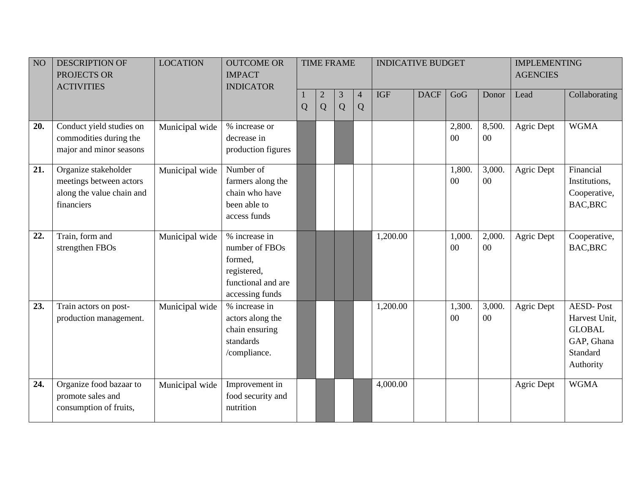| NO  | <b>DESCRIPTION OF</b>                       | <b>LOCATION</b> | <b>OUTCOME OR</b>                 |   |              | <b>TIME FRAME</b> |                | <b>INDICATIVE BUDGET</b> |             |        |        | <b>IMPLEMENTING</b> |                  |
|-----|---------------------------------------------|-----------------|-----------------------------------|---|--------------|-------------------|----------------|--------------------------|-------------|--------|--------|---------------------|------------------|
|     | PROJECTS OR<br><b>ACTIVITIES</b>            |                 | <b>IMPACT</b><br><b>INDICATOR</b> |   |              |                   |                |                          |             |        |        | <b>AGENCIES</b>     |                  |
|     |                                             |                 |                                   |   | $\mathbf{2}$ | 3                 | $\overline{4}$ | <b>IGF</b>               | <b>DACF</b> | GoG    | Donor  | Lead                | Collaborating    |
|     |                                             |                 |                                   | Q | Q            | Q                 | Q              |                          |             |        |        |                     |                  |
| 20. | Conduct yield studies on                    | Municipal wide  | % increase or                     |   |              |                   |                |                          |             | 2,800. | 8,500. | Agric Dept          | <b>WGMA</b>      |
|     | commodities during the                      |                 | decrease in                       |   |              |                   |                |                          |             | $00\,$ | 00     |                     |                  |
|     | major and minor seasons                     |                 | production figures                |   |              |                   |                |                          |             |        |        |                     |                  |
| 21. | Organize stakeholder                        | Municipal wide  | Number of                         |   |              |                   |                |                          |             | 1,800. | 3,000. | Agric Dept          | Financial        |
|     | meetings between actors                     |                 | farmers along the                 |   |              |                   |                |                          |             | $00\,$ | $00\,$ |                     | Institutions,    |
|     | along the value chain and                   |                 | chain who have                    |   |              |                   |                |                          |             |        |        |                     | Cooperative,     |
|     | financiers                                  |                 | been able to<br>access funds      |   |              |                   |                |                          |             |        |        |                     | <b>BAC,BRC</b>   |
|     |                                             |                 |                                   |   |              |                   |                |                          |             |        |        |                     |                  |
| 22. | Train, form and                             | Municipal wide  | % increase in                     |   |              |                   |                | 1,200.00                 |             | 1,000. | 2,000. | Agric Dept          | Cooperative,     |
|     | strengthen FBOs                             |                 | number of FBOs                    |   |              |                   |                |                          |             | $00\,$ | $00\,$ |                     | <b>BAC,BRC</b>   |
|     |                                             |                 | formed,                           |   |              |                   |                |                          |             |        |        |                     |                  |
|     |                                             |                 | registered,<br>functional and are |   |              |                   |                |                          |             |        |        |                     |                  |
|     |                                             |                 | accessing funds                   |   |              |                   |                |                          |             |        |        |                     |                  |
| 23. | Train actors on post-                       | Municipal wide  | % increase in                     |   |              |                   |                | 1,200.00                 |             | 1,300. | 3,000. | Agric Dept          | <b>AESD-Post</b> |
|     | production management.                      |                 | actors along the                  |   |              |                   |                |                          |             | $00\,$ | $00\,$ |                     | Harvest Unit,    |
|     |                                             |                 | chain ensuring                    |   |              |                   |                |                          |             |        |        |                     | <b>GLOBAL</b>    |
|     |                                             |                 | standards                         |   |              |                   |                |                          |             |        |        |                     | GAP, Ghana       |
|     |                                             |                 | /compliance.                      |   |              |                   |                |                          |             |        |        |                     | Standard         |
|     |                                             |                 |                                   |   |              |                   |                |                          |             |        |        |                     | Authority        |
| 24. | Organize food bazaar to                     | Municipal wide  | Improvement in                    |   |              |                   |                | 4,000.00                 |             |        |        | Agric Dept          | <b>WGMA</b>      |
|     |                                             |                 |                                   |   |              |                   |                |                          |             |        |        |                     |                  |
|     | promote sales and<br>consumption of fruits, |                 | food security and<br>nutrition    |   |              |                   |                |                          |             |        |        |                     |                  |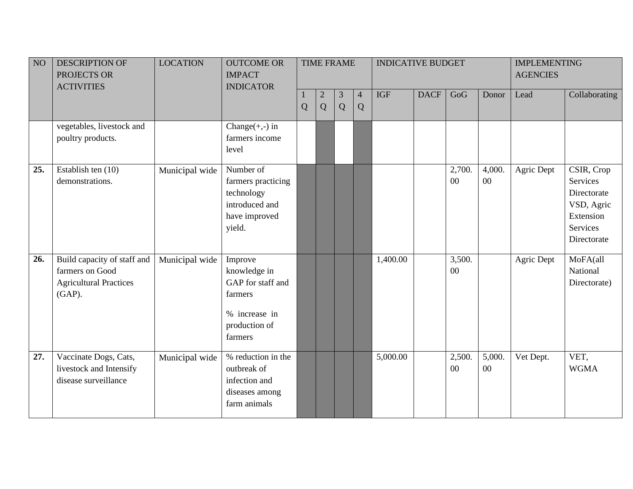| NO  | <b>DESCRIPTION OF</b><br>PROJECTS OR<br><b>ACTIVITIES</b>                                    | <b>LOCATION</b> | <b>OUTCOME OR</b><br><b>IMPACT</b><br><b>INDICATOR</b>                                               |   |                     | <b>TIME FRAME</b> |                             | <b>INDICATIVE BUDGET</b> |             |              |                  | <b>IMPLEMENTING</b><br><b>AGENCIES</b> |                                                                                             |
|-----|----------------------------------------------------------------------------------------------|-----------------|------------------------------------------------------------------------------------------------------|---|---------------------|-------------------|-----------------------------|--------------------------|-------------|--------------|------------------|----------------------------------------|---------------------------------------------------------------------------------------------|
|     |                                                                                              |                 |                                                                                                      | Q | $\overline{2}$<br>Q | 3<br>Q            | $\overline{4}$<br>${\bf Q}$ | <b>IGF</b>               | <b>DACF</b> | GoG          | Donor            | Lead                                   | Collaborating                                                                               |
|     | vegetables, livestock and<br>poultry products.                                               |                 | Change $(+,-)$ in<br>farmers income<br>level                                                         |   |                     |                   |                             |                          |             |              |                  |                                        |                                                                                             |
| 25. | Establish ten (10)<br>demonstrations.                                                        | Municipal wide  | Number of<br>farmers practicing<br>technology<br>introduced and<br>have improved<br>yield.           |   |                     |                   |                             |                          |             | 2,700.<br>00 | 4,000.<br>$00\,$ | Agric Dept                             | CSIR, Crop<br>Services<br>Directorate<br>VSD, Agric<br>Extension<br>Services<br>Directorate |
| 26. | Build capacity of staff and<br>farmers on Good<br><b>Agricultural Practices</b><br>$(GAP)$ . | Municipal wide  | Improve<br>knowledge in<br>GAP for staff and<br>farmers<br>% increase in<br>production of<br>farmers |   |                     |                   |                             | 1,400.00                 |             | 3,500.<br>00 |                  | Agric Dept                             | MoFA(all<br>National<br>Directorate)                                                        |
| 27. | Vaccinate Dogs, Cats,<br>livestock and Intensify<br>disease surveillance                     | Municipal wide  | % reduction in the<br>outbreak of<br>infection and<br>diseases among<br>farm animals                 |   |                     |                   |                             | 5,000.00                 |             | 2,500.<br>00 | 5,000.<br>$00\,$ | Vet Dept.                              | VET,<br><b>WGMA</b>                                                                         |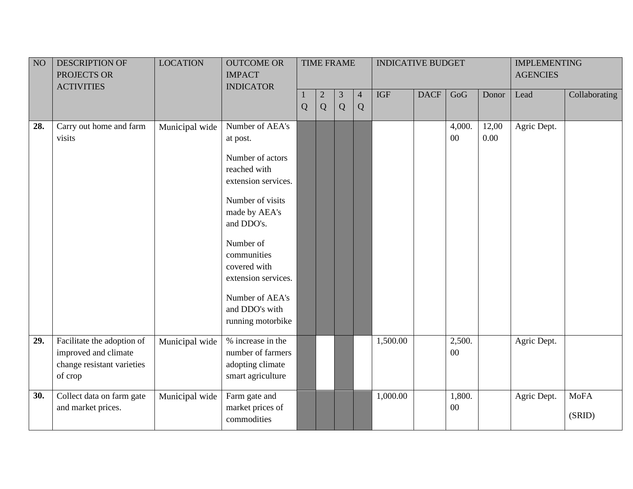| NO  | DESCRIPTION OF                                                                              | <b>LOCATION</b> | <b>OUTCOME OR</b>                                                               |   |                | <b>TIME FRAME</b> |                | <b>INDICATIVE BUDGET</b> |             |                  |               | <b>IMPLEMENTING</b> |                       |
|-----|---------------------------------------------------------------------------------------------|-----------------|---------------------------------------------------------------------------------|---|----------------|-------------------|----------------|--------------------------|-------------|------------------|---------------|---------------------|-----------------------|
|     | PROJECTS OR                                                                                 |                 | <b>IMPACT</b>                                                                   |   |                |                   |                |                          |             |                  |               | <b>AGENCIES</b>     |                       |
|     | <b>ACTIVITIES</b>                                                                           |                 | <b>INDICATOR</b>                                                                |   |                |                   |                |                          |             |                  |               |                     |                       |
|     |                                                                                             |                 |                                                                                 |   | $\overline{2}$ | 3                 | $\overline{4}$ | <b>IGF</b>               | <b>DACF</b> | GoG              | Donor         | Lead                | Collaborating         |
|     |                                                                                             |                 |                                                                                 | Q | Q              | Q                 | Q              |                          |             |                  |               |                     |                       |
| 28. | Carry out home and farm<br>visits                                                           | Municipal wide  | Number of AEA's<br>at post.                                                     |   |                |                   |                |                          |             | 4,000.<br>$00\,$ | 12,00<br>0.00 | Agric Dept.         |                       |
|     |                                                                                             |                 | Number of actors<br>reached with<br>extension services.                         |   |                |                   |                |                          |             |                  |               |                     |                       |
|     |                                                                                             |                 | Number of visits<br>made by AEA's<br>and DDO's.                                 |   |                |                   |                |                          |             |                  |               |                     |                       |
|     |                                                                                             |                 | Number of<br>communities<br>covered with<br>extension services.                 |   |                |                   |                |                          |             |                  |               |                     |                       |
|     |                                                                                             |                 | Number of AEA's<br>and DDO's with<br>running motorbike                          |   |                |                   |                |                          |             |                  |               |                     |                       |
| 29. | Facilitate the adoption of<br>improved and climate<br>change resistant varieties<br>of crop | Municipal wide  | % increase in the<br>number of farmers<br>adopting climate<br>smart agriculture |   |                |                   |                | 1,500.00                 |             | 2,500.<br>00     |               | Agric Dept.         |                       |
| 30. | Collect data on farm gate<br>and market prices.                                             | Municipal wide  | Farm gate and<br>market prices of<br>commodities                                |   |                |                   |                | 1,000.00                 |             | 1,800.<br>$00\,$ |               | Agric Dept.         | <b>MoFA</b><br>(SRID) |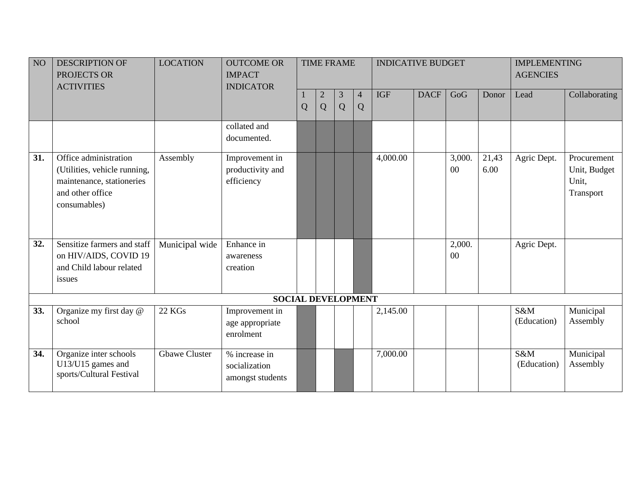| NO <sub>1</sub> | <b>DESCRIPTION OF</b><br>PROJECTS OR<br><b>ACTIVITIES</b>                                                              | <b>LOCATION</b>      | <b>OUTCOME OR</b><br><b>IMPACT</b><br><b>INDICATOR</b> |   |                     | <b>TIME FRAME</b> |                     | <b>INDICATIVE BUDGET</b> |             |                  |               | <b>IMPLEMENTING</b><br><b>AGENCIES</b> |                                                   |
|-----------------|------------------------------------------------------------------------------------------------------------------------|----------------------|--------------------------------------------------------|---|---------------------|-------------------|---------------------|--------------------------|-------------|------------------|---------------|----------------------------------------|---------------------------------------------------|
|                 |                                                                                                                        |                      |                                                        | Q | $\overline{2}$<br>Q | 3<br>Q            | $\overline{4}$<br>Q | <b>IGF</b>               | <b>DACF</b> | GoG              | Donor         | Lead                                   | Collaborating                                     |
|                 |                                                                                                                        |                      | collated and<br>documented.                            |   |                     |                   |                     |                          |             |                  |               |                                        |                                                   |
| 31.             | Office administration<br>(Utilities, vehicle running,<br>maintenance, stationeries<br>and other office<br>consumables) | Assembly             | Improvement in<br>productivity and<br>efficiency       |   |                     |                   |                     | 4,000.00                 |             | 3,000.<br>00     | 21,43<br>6.00 | Agric Dept.                            | Procurement<br>Unit, Budget<br>Unit,<br>Transport |
| 32.             | Sensitize farmers and staff<br>on HIV/AIDS, COVID 19<br>and Child labour related<br>issues                             | Municipal wide       | Enhance in<br>awareness<br>creation                    |   |                     |                   |                     |                          |             | 2,000.<br>$00\,$ |               | Agric Dept.                            |                                                   |
|                 |                                                                                                                        |                      | <b>SOCIAL DEVELOPMENT</b>                              |   |                     |                   |                     |                          |             |                  |               |                                        |                                                   |
| 33.             | Organize my first day @<br>school                                                                                      | <b>22 KGs</b>        | Improvement in<br>age appropriate<br>enrolment         |   |                     |                   |                     | 2,145.00                 |             |                  |               | S&M<br>(Education)                     | Municipal<br>Assembly                             |
| 34.             | Organize inter schools<br>U13/U15 games and<br>sports/Cultural Festival                                                | <b>Gbawe Cluster</b> | % increase in<br>socialization<br>amongst students     |   |                     |                   |                     | 7,000.00                 |             |                  |               | S&M<br>(Education)                     | Municipal<br>Assembly                             |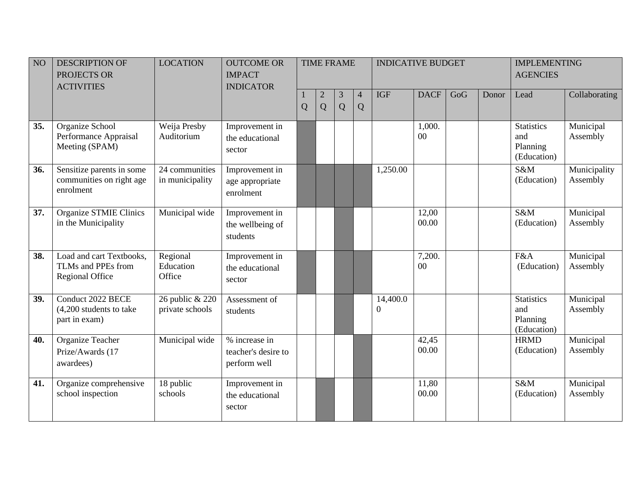| NO  | <b>DESCRIPTION OF</b><br>PROJECTS OR<br><b>ACTIVITIES</b>                | <b>LOCATION</b>                    | <b>OUTCOME OR</b><br><b>IMPACT</b><br><b>INDICATOR</b> |                |                     | <b>TIME FRAME</b>   |                     | <b>INDICATIVE BUDGET</b>     |                  |     |       | <b>IMPLEMENTING</b><br><b>AGENCIES</b>              |                          |
|-----|--------------------------------------------------------------------------|------------------------------------|--------------------------------------------------------|----------------|---------------------|---------------------|---------------------|------------------------------|------------------|-----|-------|-----------------------------------------------------|--------------------------|
|     |                                                                          |                                    |                                                        | $\overline{Q}$ | $\overline{c}$<br>Q | $\mathfrak{Z}$<br>Q | $\overline{4}$<br>Q | <b>IGF</b>                   | <b>DACF</b>      | GoG | Donor | Lead                                                | Collaborating            |
| 35. | Organize School<br>Performance Appraisal<br>Meeting (SPAM)               | Weija Presby<br>Auditorium         | Improvement in<br>the educational<br>sector            |                |                     |                     |                     |                              | 1,000.<br>00     |     |       | <b>Statistics</b><br>and<br>Planning<br>(Education) | Municipal<br>Assembly    |
| 36. | Sensitize parents in some<br>communities on right age<br>enrolment       | 24 communities<br>in municipality  | Improvement in<br>age appropriate<br>enrolment         |                |                     |                     |                     | 1,250.00                     |                  |     |       | S&M<br>(Education)                                  | Municipality<br>Assembly |
| 37. | <b>Organize STMIE Clinics</b><br>in the Municipality                     | Municipal wide                     | Improvement in<br>the wellbeing of<br>students         |                |                     |                     |                     |                              | 12,00<br>00.00   |     |       | S&M<br>(Education)                                  | Municipal<br>Assembly    |
| 38. | Load and cart Textbooks,<br>TLMs and PPEs from<br><b>Regional Office</b> | Regional<br>Education<br>Office    | Improvement in<br>the educational<br>sector            |                |                     |                     |                     |                              | 7,200.<br>$00\,$ |     |       | F&A<br>(Education)                                  | Municipal<br>Assembly    |
| 39. | Conduct 2022 BECE<br>$(4,200$ students to take<br>part in exam)          | 26 public & 220<br>private schools | Assessment of<br>students                              |                |                     |                     |                     | 14,400.0<br>$\boldsymbol{0}$ |                  |     |       | <b>Statistics</b><br>and<br>Planning<br>(Education) | Municipal<br>Assembly    |
| 40. | <b>Organize Teacher</b><br>Prize/Awards (17<br>awardees)                 | Municipal wide                     | % increase in<br>teacher's desire to<br>perform well   |                |                     |                     |                     |                              | 42,45<br>00.00   |     |       | <b>HRMD</b><br>(Education)                          | Municipal<br>Assembly    |
| 41. | Organize comprehensive<br>school inspection                              | 18 public<br>schools               | Improvement in<br>the educational<br>sector            |                |                     |                     |                     |                              | 11,80<br>00.00   |     |       | S&M<br>(Education)                                  | Municipal<br>Assembly    |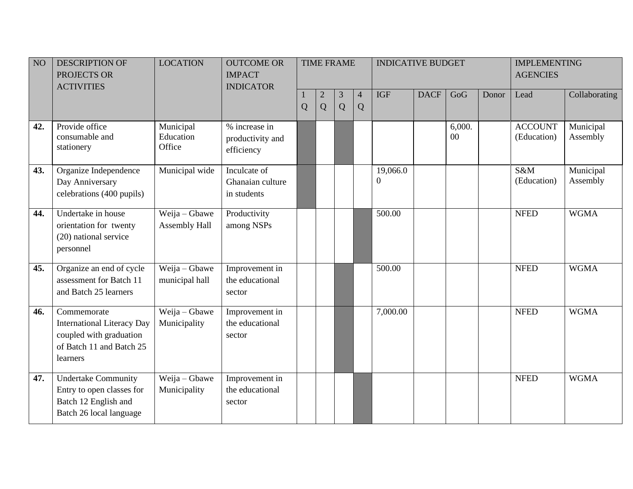| NO  | <b>DESCRIPTION OF</b><br>PROJECTS OR<br><b>ACTIVITIES</b>                                                           | <b>LOCATION</b>                  | <b>OUTCOME OR</b><br><b>IMPACT</b><br><b>INDICATOR</b> |   |                   | <b>TIME FRAME</b>   |        | <b>INDICATIVE BUDGET</b> |             |              |       | <b>IMPLEMENTING</b><br><b>AGENCIES</b> |                       |
|-----|---------------------------------------------------------------------------------------------------------------------|----------------------------------|--------------------------------------------------------|---|-------------------|---------------------|--------|--------------------------|-------------|--------------|-------|----------------------------------------|-----------------------|
|     |                                                                                                                     |                                  |                                                        | Q | $\mathbf{2}$<br>Q | $\mathfrak{Z}$<br>Q | 4<br>Q | <b>IGF</b>               | <b>DACF</b> | GoG          | Donor | Lead                                   | Collaborating         |
| 42. | Provide office<br>consumable and<br>stationery                                                                      | Municipal<br>Education<br>Office | % increase in<br>productivity and<br>efficiency        |   |                   |                     |        |                          |             | 6,000.<br>00 |       | <b>ACCOUNT</b><br>(Education)          | Municipal<br>Assembly |
| 43. | Organize Independence<br>Day Anniversary<br>celebrations (400 pupils)                                               | Municipal wide                   | Inculcate of<br>Ghanaian culture<br>in students        |   |                   |                     |        | 19,066.0<br>$\mathbf{0}$ |             |              |       | S&M<br>(Education)                     | Municipal<br>Assembly |
| 44. | Undertake in house<br>orientation for twenty<br>(20) national service<br>personnel                                  | Weija - Gbawe<br>Assembly Hall   | Productivity<br>among NSPs                             |   |                   |                     |        | 500.00                   |             |              |       | <b>NFED</b>                            | <b>WGMA</b>           |
| 45. | Organize an end of cycle<br>assessment for Batch 11<br>and Batch 25 learners                                        | Weija - Gbawe<br>municipal hall  | Improvement in<br>the educational<br>sector            |   |                   |                     |        | 500.00                   |             |              |       | <b>NFED</b>                            | <b>WGMA</b>           |
| 46. | Commemorate<br><b>International Literacy Day</b><br>coupled with graduation<br>of Batch 11 and Batch 25<br>learners | Weija - Gbawe<br>Municipality    | Improvement in<br>the educational<br>sector            |   |                   |                     |        | 7,000.00                 |             |              |       | <b>NFED</b>                            | <b>WGMA</b>           |
| 47. | <b>Undertake Community</b><br>Entry to open classes for<br>Batch 12 English and<br>Batch 26 local language          | Weija - Gbawe<br>Municipality    | Improvement in<br>the educational<br>sector            |   |                   |                     |        |                          |             |              |       | <b>NFED</b>                            | <b>WGMA</b>           |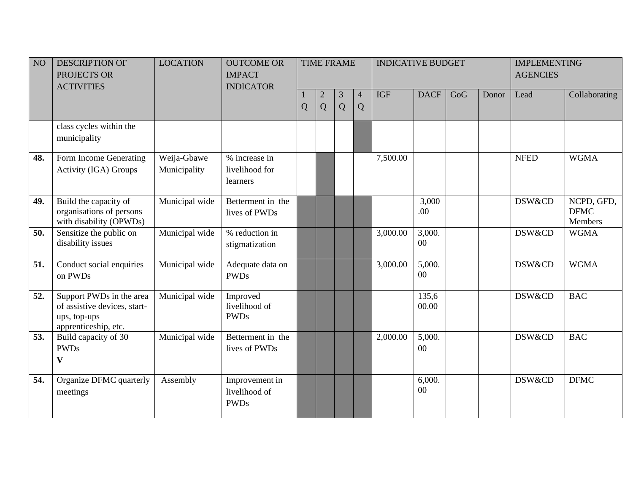| NO  | <b>DESCRIPTION OF</b><br>PROJECTS OR<br><b>ACTIVITIES</b>                                        | <b>LOCATION</b>             | <b>OUTCOME OR</b><br><b>IMPACT</b><br><b>INDICATOR</b> |                |                   | <b>TIME FRAME</b> |                     | <b>INDICATIVE BUDGET</b> |                  |     |       | <b>IMPLEMENTING</b><br><b>AGENCIES</b> |                                      |
|-----|--------------------------------------------------------------------------------------------------|-----------------------------|--------------------------------------------------------|----------------|-------------------|-------------------|---------------------|--------------------------|------------------|-----|-------|----------------------------------------|--------------------------------------|
|     |                                                                                                  |                             |                                                        | $\overline{Q}$ | $\mathbf{2}$<br>Q | 3<br>Q            | $\overline{4}$<br>Q | <b>IGF</b>               | <b>DACF</b>      | GoG | Donor | Lead                                   | Collaborating                        |
|     | class cycles within the<br>municipality                                                          |                             |                                                        |                |                   |                   |                     |                          |                  |     |       |                                        |                                      |
| 48. | Form Income Generating<br>Activity (IGA) Groups                                                  | Weija-Gbawe<br>Municipality | % increase in<br>livelihood for<br>learners            |                |                   |                   |                     | 7,500.00                 |                  |     |       | <b>NFED</b>                            | <b>WGMA</b>                          |
| 49. | Build the capacity of<br>organisations of persons<br>with disability (OPWDs)                     | Municipal wide              | Betterment in the<br>lives of PWDs                     |                |                   |                   |                     |                          | 3,000<br>.00     |     |       | DSW&CD                                 | NCPD, GFD,<br><b>DFMC</b><br>Members |
| 50. | Sensitize the public on<br>disability issues                                                     | Municipal wide              | % reduction in<br>stigmatization                       |                |                   |                   |                     | 3,000.00                 | 3,000.<br>$00\,$ |     |       | <b>DSW&amp;CD</b>                      | <b>WGMA</b>                          |
| 51. | Conduct social enquiries<br>on PWDs                                                              | Municipal wide              | Adequate data on<br><b>PWDs</b>                        |                |                   |                   |                     | 3,000.00                 | 5,000.<br>00     |     |       | DSW&CD                                 | <b>WGMA</b>                          |
| 52. | Support PWDs in the area<br>of assistive devices, start-<br>ups, top-ups<br>apprenticeship, etc. | Municipal wide              | Improved<br>livelihood of<br><b>PWDs</b>               |                |                   |                   |                     |                          | 135,6<br>00.00   |     |       | <b>DSW&amp;CD</b>                      | <b>BAC</b>                           |
| 53. | Build capacity of 30<br><b>PWDs</b><br>$\boldsymbol{\mathrm{V}}$                                 | Municipal wide              | Betterment in the<br>lives of PWDs                     |                |                   |                   |                     | 2,000.00                 | 5,000.<br>$00\,$ |     |       | DSW&CD                                 | <b>BAC</b>                           |
| 54. | Organize DFMC quarterly<br>meetings                                                              | Assembly                    | Improvement in<br>livelihood of<br><b>PWDs</b>         |                |                   |                   |                     |                          | 6,000.<br>00     |     |       | <b>DSW&amp;CD</b>                      | <b>DFMC</b>                          |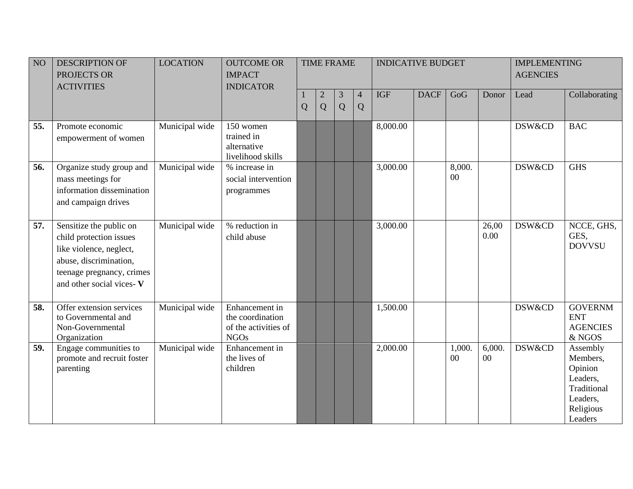| NO  | <b>DESCRIPTION OF</b><br>PROJECTS OR<br><b>ACTIVITIES</b>                                                                                                        | <b>LOCATION</b> | <b>OUTCOME OR</b><br><b>IMPACT</b><br><b>INDICATOR</b>                    |   |                   | <b>TIME FRAME</b>   |                     | <b>INDICATIVE BUDGET</b> |             |              |                  | <b>IMPLEMENTING</b><br><b>AGENCIES</b> |                                                                                                |
|-----|------------------------------------------------------------------------------------------------------------------------------------------------------------------|-----------------|---------------------------------------------------------------------------|---|-------------------|---------------------|---------------------|--------------------------|-------------|--------------|------------------|----------------------------------------|------------------------------------------------------------------------------------------------|
|     |                                                                                                                                                                  |                 |                                                                           | Q | $\mathbf{2}$<br>Q | $\mathfrak{Z}$<br>Q | $\overline{4}$<br>Q | <b>IGF</b>               | <b>DACF</b> | GoG          | Donor            | Lead                                   | Collaborating                                                                                  |
| 55. | Promote economic<br>empowerment of women                                                                                                                         | Municipal wide  | 150 women<br>trained in<br>alternative<br>livelihood skills               |   |                   |                     |                     | 8,000.00                 |             |              |                  | <b>DSW&amp;CD</b>                      | <b>BAC</b>                                                                                     |
| 56. | Organize study group and<br>mass meetings for<br>information dissemination<br>and campaign drives                                                                | Municipal wide  | % increase in<br>social intervention<br>programmes                        |   |                   |                     |                     | 3,000.00                 |             | 8,000.<br>00 |                  | DSW&CD                                 | <b>GHS</b>                                                                                     |
| 57. | Sensitize the public on<br>child protection issues<br>like violence, neglect,<br>abuse, discrimination,<br>teenage pregnancy, crimes<br>and other social vices-V | Municipal wide  | % reduction in<br>child abuse                                             |   |                   |                     |                     | 3,000.00                 |             |              | 26,00<br>0.00    | DSW&CD                                 | NCCE, GHS,<br>GES,<br><b>DOVVSU</b>                                                            |
| 58. | Offer extension services<br>to Governmental and<br>Non-Governmental<br>Organization                                                                              | Municipal wide  | Enhancement in<br>the coordination<br>of the activities of<br><b>NGOs</b> |   |                   |                     |                     | 1,500.00                 |             |              |                  | DSW&CD                                 | <b>GOVERNM</b><br><b>ENT</b><br><b>AGENCIES</b><br>& NGOS                                      |
| 59. | Engage communities to<br>promote and recruit foster<br>parenting                                                                                                 | Municipal wide  | Enhancement in<br>the lives of<br>children                                |   |                   |                     |                     | 2,000.00                 |             | 1,000.<br>00 | 6,000.<br>$00\,$ | DSW&CD                                 | Assembly<br>Members,<br>Opinion<br>Leaders,<br>Traditional<br>Leaders,<br>Religious<br>Leaders |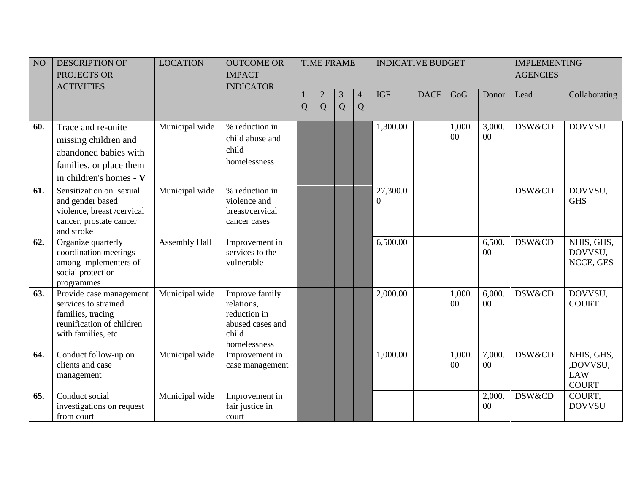| NO  | <b>DESCRIPTION OF</b><br>PROJECTS OR<br><b>ACTIVITIES</b>                                                                 | <b>LOCATION</b> | <b>OUTCOME OR</b><br><b>IMPACT</b><br><b>INDICATOR</b>                                    |   |                     | <b>TIME FRAME</b> |                     | <b>INDICATIVE BUDGET</b> |             |                  |                  | <b>IMPLEMENTING</b><br><b>AGENCIES</b> |                                                      |
|-----|---------------------------------------------------------------------------------------------------------------------------|-----------------|-------------------------------------------------------------------------------------------|---|---------------------|-------------------|---------------------|--------------------------|-------------|------------------|------------------|----------------------------------------|------------------------------------------------------|
|     |                                                                                                                           |                 |                                                                                           | Q | $\overline{c}$<br>Q | 3<br>Q            | $\overline{4}$<br>Q | <b>IGF</b>               | <b>DACF</b> | GoG              | Donor            | Lead                                   | Collaborating                                        |
| 60. | Trace and re-unite<br>missing children and<br>abandoned babies with<br>families, or place them<br>in children's homes - V | Municipal wide  | % reduction in<br>child abuse and<br>child<br>homelessness                                |   |                     |                   |                     | 1,300.00                 |             | 1,000.<br>$00\,$ | 3,000.<br>00     | DSW&CD                                 | <b>DOVVSU</b>                                        |
| 61. | Sensitization on sexual<br>and gender based<br>violence, breast /cervical<br>cancer, prostate cancer<br>and stroke        | Municipal wide  | % reduction in<br>violence and<br>breast/cervical<br>cancer cases                         |   |                     |                   |                     | 27,300.0<br>$\mathbf{0}$ |             |                  |                  | DSW&CD                                 | DOVVSU,<br><b>GHS</b>                                |
| 62. | Organize quarterly<br>coordination meetings<br>among implementers of<br>social protection<br>programmes                   | Assembly Hall   | Improvement in<br>services to the<br>vulnerable                                           |   |                     |                   |                     | 6,500.00                 |             |                  | 6,500.<br>00     | DSW&CD                                 | NHIS, GHS,<br>DOVVSU,<br>NCCE, GES                   |
| 63. | Provide case management<br>services to strained<br>families, tracing<br>reunification of children<br>with families, etc   | Municipal wide  | Improve family<br>relations,<br>reduction in<br>abused cases and<br>child<br>homelessness |   |                     |                   |                     | 2,000.00                 |             | 1,000.<br>00     | 6,000.<br>00     | <b>DSW&amp;CD</b>                      | DOVVSU,<br><b>COURT</b>                              |
| 64. | Conduct follow-up on<br>clients and case<br>management                                                                    | Municipal wide  | Improvement in<br>case management                                                         |   |                     |                   |                     | 1,000.00                 |             | 1,000.<br>00     | 7,000.<br>$00\,$ | DSW&CD                                 | NHIS, GHS,<br>,DOVVSU,<br><b>LAW</b><br><b>COURT</b> |
| 65. | Conduct social<br>investigations on request<br>from court                                                                 | Municipal wide  | Improvement in<br>fair justice in<br>court                                                |   |                     |                   |                     |                          |             |                  | 2,000.<br>$00\,$ | <b>DSW&amp;CD</b>                      | COURT,<br><b>DOVVSU</b>                              |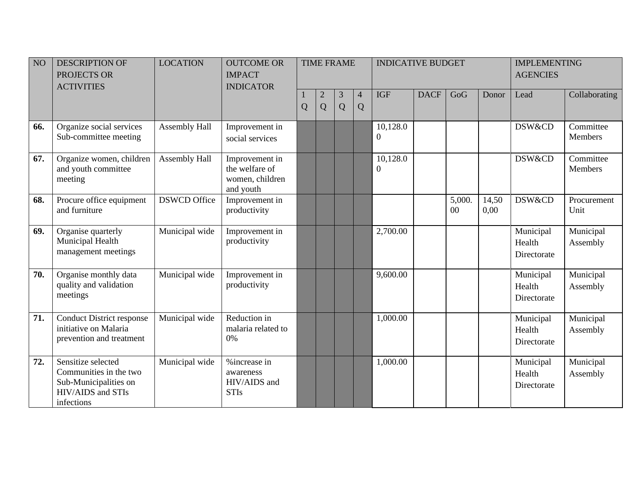| NO  | <b>DESCRIPTION OF</b><br>PROJECTS OR<br><b>ACTIVITIES</b>                                                | <b>LOCATION</b>      | <b>OUTCOME OR</b><br><b>IMPACT</b><br><b>INDICATOR</b>           |                |        | <b>TIME FRAME</b> |                     | <b>INDICATIVE BUDGET</b>     |             |              |               | <b>IMPLEMENTING</b><br><b>AGENCIES</b> |                             |
|-----|----------------------------------------------------------------------------------------------------------|----------------------|------------------------------------------------------------------|----------------|--------|-------------------|---------------------|------------------------------|-------------|--------------|---------------|----------------------------------------|-----------------------------|
|     |                                                                                                          |                      |                                                                  | $\overline{Q}$ | 2<br>Q | 3<br>Q            | $\overline{4}$<br>Q | <b>IGF</b>                   | <b>DACF</b> | GoG          | Donor         | Lead                                   | Collaborating               |
| 66. | Organize social services<br>Sub-committee meeting                                                        | <b>Assembly Hall</b> | Improvement in<br>social services                                |                |        |                   |                     | 10,128.0<br>$\mathbf{0}$     |             |              |               | DSW&CD                                 | Committee<br>Members        |
| 67. | Organize women, children<br>and youth committee<br>meeting                                               | <b>Assembly Hall</b> | Improvement in<br>the welfare of<br>women, children<br>and youth |                |        |                   |                     | 10,128.0<br>$\boldsymbol{0}$ |             |              |               | DSW&CD                                 | Committee<br><b>Members</b> |
| 68. | Procure office equipment<br>and furniture                                                                | <b>DSWCD Office</b>  | Improvement in<br>productivity                                   |                |        |                   |                     |                              |             | 5,000.<br>00 | 14,50<br>0,00 | DSW&CD                                 | Procurement<br>Unit         |
| 69. | Organise quarterly<br>Municipal Health<br>management meetings                                            | Municipal wide       | Improvement in<br>productivity                                   |                |        |                   |                     | 2,700.00                     |             |              |               | Municipal<br>Health<br>Directorate     | Municipal<br>Assembly       |
| 70. | Organise monthly data<br>quality and validation<br>meetings                                              | Municipal wide       | Improvement in<br>productivity                                   |                |        |                   |                     | 9,600.00                     |             |              |               | Municipal<br>Health<br>Directorate     | Municipal<br>Assembly       |
| 71. | <b>Conduct District response</b><br>initiative on Malaria<br>prevention and treatment                    | Municipal wide       | Reduction in<br>malaria related to<br>0%                         |                |        |                   |                     | 1,000.00                     |             |              |               | Municipal<br>Health<br>Directorate     | Municipal<br>Assembly       |
| 72. | Sensitize selected<br>Communities in the two<br>Sub-Municipalities on<br>HIV/AIDS and STIs<br>infections | Municipal wide       | %increase in<br>awareness<br>HIV/AIDS and<br><b>STIs</b>         |                |        |                   |                     | 1,000.00                     |             |              |               | Municipal<br>Health<br>Directorate     | Municipal<br>Assembly       |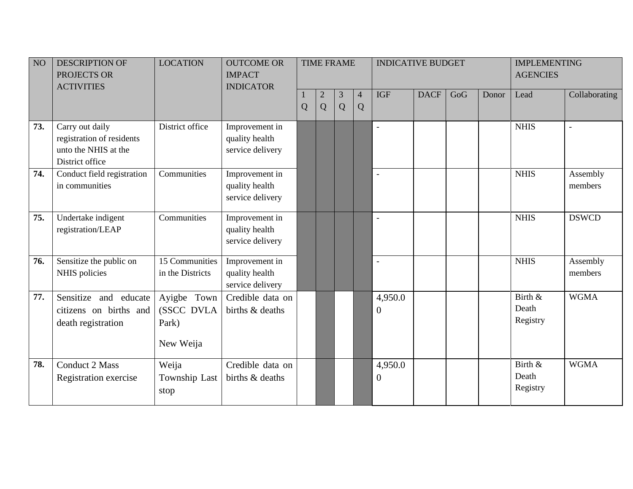| NO  | <b>DESCRIPTION OF</b><br>PROJECTS OR<br><b>ACTIVITIES</b>                               | <b>LOCATION</b>                                 | <b>OUTCOME OR</b><br><b>IMPACT</b><br><b>INDICATOR</b> |   |                     | <b>TIME FRAME</b>   |                     | <b>INDICATIVE BUDGET</b>  |             |     |       | <b>IMPLEMENTING</b><br><b>AGENCIES</b> |                     |
|-----|-----------------------------------------------------------------------------------------|-------------------------------------------------|--------------------------------------------------------|---|---------------------|---------------------|---------------------|---------------------------|-------------|-----|-------|----------------------------------------|---------------------|
|     |                                                                                         |                                                 |                                                        | Q | $\overline{c}$<br>Q | $\mathfrak{Z}$<br>Q | $\overline{4}$<br>Q | <b>IGF</b>                | <b>DACF</b> | GoG | Donor | Lead                                   | Collaborating       |
| 73. | Carry out daily<br>registration of residents<br>unto the NHIS at the<br>District office | District office                                 | Improvement in<br>quality health<br>service delivery   |   |                     |                     |                     | $\sim$                    |             |     |       | <b>NHIS</b>                            |                     |
| 74. | Conduct field registration<br>in communities                                            | Communities                                     | Improvement in<br>quality health<br>service delivery   |   |                     |                     |                     | $\blacksquare$            |             |     |       | <b>NHIS</b>                            | Assembly<br>members |
| 75. | Undertake indigent<br>registration/LEAP                                                 | Communities                                     | Improvement in<br>quality health<br>service delivery   |   |                     |                     |                     | $\overline{\phantom{a}}$  |             |     |       | <b>NHIS</b>                            | <b>DSWCD</b>        |
| 76. | Sensitize the public on<br>NHIS policies                                                | 15 Communities<br>in the Districts              | Improvement in<br>quality health<br>service delivery   |   |                     |                     |                     |                           |             |     |       | <b>NHIS</b>                            | Assembly<br>members |
| 77. | Sensitize and educate<br>citizens on births and<br>death registration                   | Ayigbe Town<br>(SSCC DVLA<br>Park)<br>New Weija | Credible data on<br>births & deaths                    |   |                     |                     |                     | 4,950.0<br>$\overline{0}$ |             |     |       | Birth &<br>Death<br>Registry           | <b>WGMA</b>         |
| 78. | <b>Conduct 2 Mass</b><br>Registration exercise                                          | Weija<br>Township Last<br>stop                  | Credible data on<br>births & deaths                    |   |                     |                     |                     | 4,950.0<br>$\overline{0}$ |             |     |       | Birth &<br>Death<br>Registry           | <b>WGMA</b>         |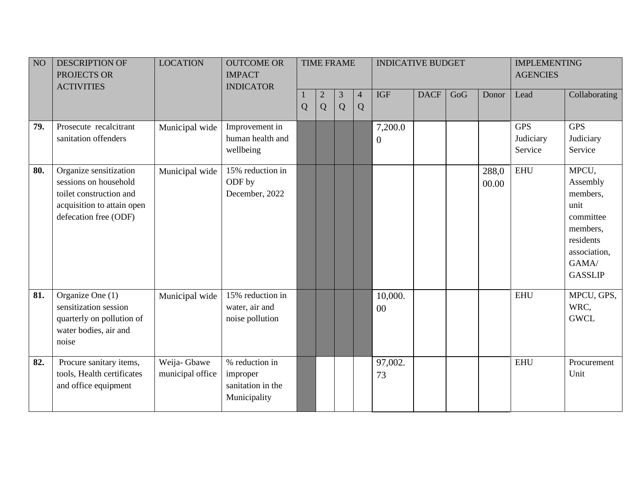| NO  | <b>DESCRIPTION OF</b><br>PROJECTS OR<br><b>ACTIVITIES</b>                                                                         | <b>LOCATION</b>                  | <b>OUTCOME OR</b><br><b>IMPACT</b><br><b>INDICATOR</b>          |   |                     | <b>TIME FRAME</b> |                     | <b>INDICATIVE BUDGET</b>  |             |     |                | <b>IMPLEMENTING</b><br><b>AGENCIES</b> |                                                                                                                        |
|-----|-----------------------------------------------------------------------------------------------------------------------------------|----------------------------------|-----------------------------------------------------------------|---|---------------------|-------------------|---------------------|---------------------------|-------------|-----|----------------|----------------------------------------|------------------------------------------------------------------------------------------------------------------------|
|     |                                                                                                                                   |                                  |                                                                 | Q | $\overline{2}$<br>Q | 3<br>Q            | $\overline{4}$<br>Q | <b>IGF</b>                | <b>DACF</b> | GoG | Donor          | Lead                                   | Collaborating                                                                                                          |
| 79. | Prosecute recalcitrant<br>sanitation offenders                                                                                    | Municipal wide                   | Improvement in<br>human health and<br>wellbeing                 |   |                     |                   |                     | 7,200.0<br>$\overline{0}$ |             |     |                | <b>GPS</b><br>Judiciary<br>Service     | <b>GPS</b><br>Judiciary<br>Service                                                                                     |
| 80. | Organize sensitization<br>sessions on household<br>toilet construction and<br>acquisition to attain open<br>defecation free (ODF) | Municipal wide                   | 15% reduction in<br>ODF by<br>December, 2022                    |   |                     |                   |                     |                           |             |     | 288,0<br>00.00 | <b>EHU</b>                             | MPCU,<br>Assembly<br>members,<br>unit<br>committee<br>members,<br>residents<br>association,<br>GAMA/<br><b>GASSLIP</b> |
| 81. | Organize One (1)<br>sensitization session<br>quarterly on pollution of<br>water bodies, air and<br>noise                          | Municipal wide                   | 15% reduction in<br>water, air and<br>noise pollution           |   |                     |                   |                     | 10,000.<br>00             |             |     |                | <b>EHU</b>                             | MPCU, GPS,<br>WRC,<br><b>GWCL</b>                                                                                      |
| 82. | Procure sanitary items,<br>tools, Health certificates<br>and office equipment                                                     | Weija- Gbawe<br>municipal office | % reduction in<br>improper<br>sanitation in the<br>Municipality |   |                     |                   |                     | 97,002.<br>73             |             |     |                | <b>EHU</b>                             | Procurement<br>Unit                                                                                                    |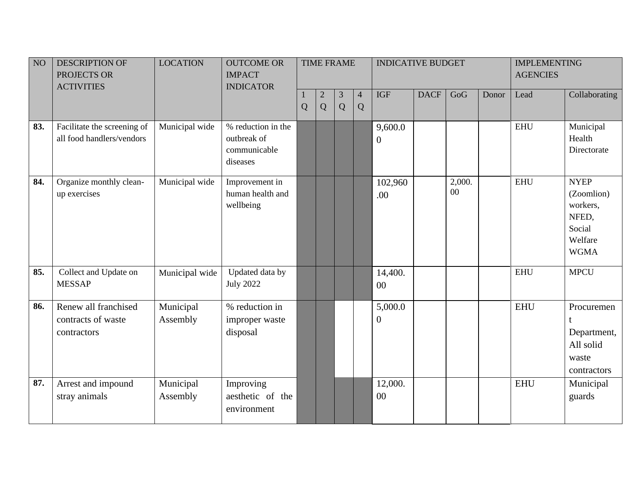| NO  | <b>DESCRIPTION OF</b><br>PROJECTS OR<br><b>ACTIVITIES</b> | <b>LOCATION</b>       | <b>OUTCOME OR</b><br><b>IMPACT</b><br><b>INDICATOR</b>        |   |                     | <b>TIME FRAME</b>   |                     | <b>INDICATIVE BUDGET</b>    |             |              |       | <b>IMPLEMENTING</b><br><b>AGENCIES</b> |                                                                                    |
|-----|-----------------------------------------------------------|-----------------------|---------------------------------------------------------------|---|---------------------|---------------------|---------------------|-----------------------------|-------------|--------------|-------|----------------------------------------|------------------------------------------------------------------------------------|
|     |                                                           |                       |                                                               | Q | $\overline{2}$<br>Q | $\mathfrak{Z}$<br>Q | $\overline{4}$<br>Q | <b>IGF</b>                  | <b>DACF</b> | GoG          | Donor | Lead                                   | Collaborating                                                                      |
| 83. | Facilitate the screening of<br>all food handlers/vendors  | Municipal wide        | % reduction in the<br>outbreak of<br>communicable<br>diseases |   |                     |                     |                     | 9,600.0<br>$\overline{0}$   |             |              |       | <b>EHU</b>                             | Municipal<br>Health<br>Directorate                                                 |
| 84. | Organize monthly clean-<br>up exercises                   | Municipal wide        | Improvement in<br>human health and<br>wellbeing               |   |                     |                     |                     | 102,960<br>.00              |             | 2,000.<br>00 |       | <b>EHU</b>                             | <b>NYEP</b><br>(Zoomlion)<br>workers,<br>NFED,<br>Social<br>Welfare<br><b>WGMA</b> |
| 85. | Collect and Update on<br><b>MESSAP</b>                    | Municipal wide        | Updated data by<br><b>July 2022</b>                           |   |                     |                     |                     | 14,400.<br>$00\,$           |             |              |       | <b>EHU</b>                             | <b>MPCU</b>                                                                        |
| 86. | Renew all franchised<br>contracts of waste<br>contractors | Municipal<br>Assembly | % reduction in<br>improper waste<br>disposal                  |   |                     |                     |                     | 5,000.0<br>$\boldsymbol{0}$ |             |              |       | <b>EHU</b>                             | Procuremen<br>t<br>Department,<br>All solid<br>waste<br>contractors                |
| 87. | Arrest and impound<br>stray animals                       | Municipal<br>Assembly | Improving<br>aesthetic of the<br>environment                  |   |                     |                     |                     | 12,000.<br>$00\,$           |             |              |       | <b>EHU</b>                             | Municipal<br>guards                                                                |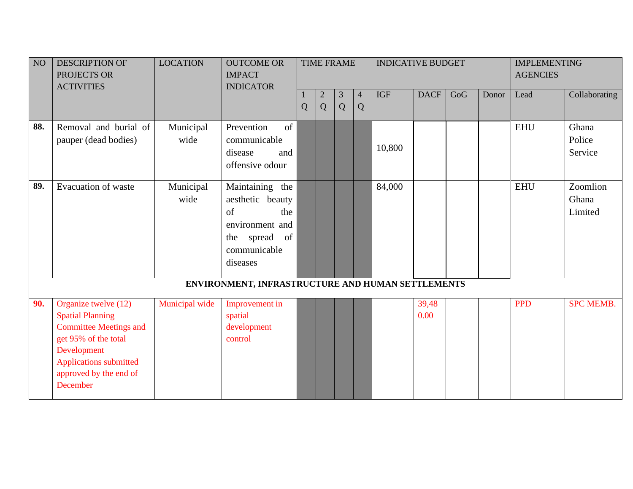| NO <sub>1</sub> | <b>DESCRIPTION OF</b><br>PROJECTS OR<br><b>ACTIVITIES</b>                                                                                                                                      | <b>LOCATION</b>   | <b>OUTCOME OR</b><br><b>IMPACT</b><br><b>INDICATOR</b>                                                           |   |                     | <b>TIME FRAME</b> |                     | <b>INDICATIVE BUDGET</b> |               |     |       | <b>IMPLEMENTING</b><br><b>AGENCIES</b> |                              |
|-----------------|------------------------------------------------------------------------------------------------------------------------------------------------------------------------------------------------|-------------------|------------------------------------------------------------------------------------------------------------------|---|---------------------|-------------------|---------------------|--------------------------|---------------|-----|-------|----------------------------------------|------------------------------|
|                 |                                                                                                                                                                                                |                   |                                                                                                                  | Q | $\overline{2}$<br>Q | 3<br>Q            | $\overline{4}$<br>Q | <b>IGF</b>               | <b>DACF</b>   | GoG | Donor | Lead                                   | Collaborating                |
| 88.             | Removal and burial of<br>pauper (dead bodies)                                                                                                                                                  | Municipal<br>wide | Prevention<br>of<br>communicable<br>disease<br>and<br>offensive odour                                            |   |                     |                   |                     | 10,800                   |               |     |       | <b>EHU</b>                             | Ghana<br>Police<br>Service   |
| 89.             | <b>Evacuation of waste</b>                                                                                                                                                                     | Municipal<br>wide | Maintaining the<br>aesthetic beauty<br>of<br>the<br>environment and<br>the spread of<br>communicable<br>diseases |   |                     |                   |                     | 84,000                   |               |     |       | <b>EHU</b>                             | Zoomlion<br>Ghana<br>Limited |
|                 |                                                                                                                                                                                                |                   | ENVIRONMENT, INFRASTRUCTURE AND HUMAN SETTLEMENTS                                                                |   |                     |                   |                     |                          |               |     |       |                                        |                              |
| 90.             | Organize twelve (12)<br><b>Spatial Planning</b><br><b>Committee Meetings and</b><br>get 95% of the total<br>Development<br><b>Applications submitted</b><br>approved by the end of<br>December | Municipal wide    | Improvement in<br>spatial<br>development<br>control                                                              |   |                     |                   |                     |                          | 39,48<br>0.00 |     |       | <b>PPD</b>                             | <b>SPC MEMB.</b>             |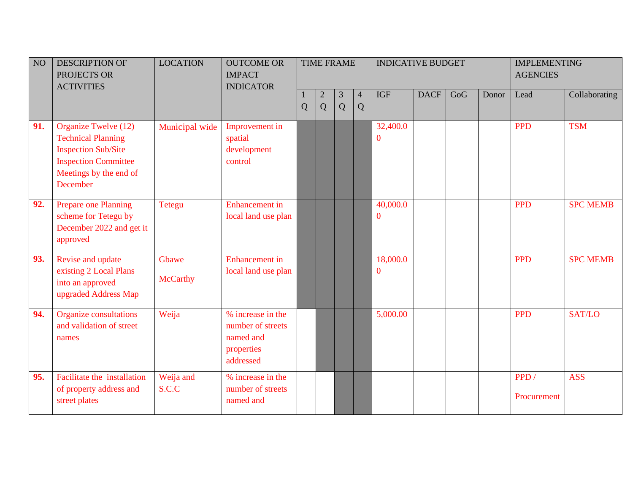| NO <sub>1</sub> | <b>DESCRIPTION OF</b><br>PROJECTS OR<br><b>ACTIVITIES</b>                                                                                                   | <b>LOCATION</b>          | <b>OUTCOME OR</b><br><b>IMPACT</b><br><b>INDICATOR</b>                         |   |                 | <b>TIME FRAME</b>   |                     | <b>INDICATIVE BUDGET</b> |             |     |       | <b>IMPLEMENTING</b><br><b>AGENCIES</b> |                 |
|-----------------|-------------------------------------------------------------------------------------------------------------------------------------------------------------|--------------------------|--------------------------------------------------------------------------------|---|-----------------|---------------------|---------------------|--------------------------|-------------|-----|-------|----------------------------------------|-----------------|
|                 |                                                                                                                                                             |                          |                                                                                | Q | $\sqrt{2}$<br>Q | $\overline{3}$<br>Q | $\overline{4}$<br>Q | <b>IGF</b>               | <b>DACF</b> | GoG | Donor | Lead                                   | Collaborating   |
| 91.             | Organize Twelve (12)<br><b>Technical Planning</b><br><b>Inspection Sub/Site</b><br><b>Inspection Committee</b><br>Meetings by the end of<br><b>December</b> | Municipal wide           | Improvement in<br>spatial<br>development<br>control                            |   |                 |                     |                     | 32,400.0<br>$\mathbf{0}$ |             |     |       | <b>PPD</b>                             | <b>TSM</b>      |
| 92.             | Prepare one Planning<br>scheme for Tetegu by<br>December 2022 and get it<br>approved                                                                        | Tetegu                   | <b>Enhancement</b> in<br>local land use plan                                   |   |                 |                     |                     | 40,000.0<br>$\mathbf{0}$ |             |     |       | <b>PPD</b>                             | <b>SPC MEMB</b> |
| 93.             | Revise and update<br>existing 2 Local Plans<br>into an approved<br>upgraded Address Map                                                                     | Gbawe<br><b>McCarthy</b> | <b>Enhancement</b> in<br>local land use plan                                   |   |                 |                     |                     | 18,000.0<br>$\mathbf{0}$ |             |     |       | <b>PPD</b>                             | <b>SPC MEMB</b> |
| 94.             | <b>Organize consultations</b><br>and validation of street<br>names                                                                                          | Weija                    | % increase in the<br>number of streets<br>named and<br>properties<br>addressed |   |                 |                     |                     | 5,000.00                 |             |     |       | <b>PPD</b>                             | SAT/LO          |
| 95.             | Facilitate the installation<br>of property address and<br>street plates                                                                                     | Weija and<br>S.C.C       | % increase in the<br>number of streets<br>named and                            |   |                 |                     |                     |                          |             |     |       | PPD/<br>Procurement                    | <b>ASS</b>      |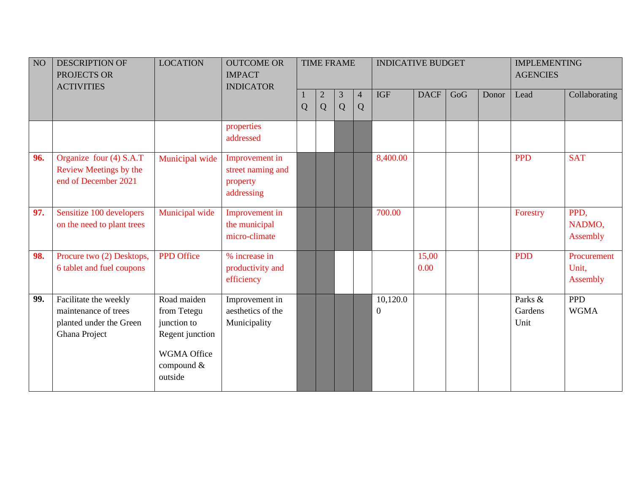| $\rm NO$ | <b>DESCRIPTION OF</b><br>PROJECTS OR<br><b>ACTIVITIES</b>                                 | <b>LOCATION</b>                                                                                      | <b>OUTCOME OR</b><br><b>IMPACT</b><br><b>INDICATOR</b>        |   |                     | <b>TIME FRAME</b> |                     | <b>INDICATIVE BUDGET</b> |               |     |       | <b>IMPLEMENTING</b><br><b>AGENCIES</b> |                                  |
|----------|-------------------------------------------------------------------------------------------|------------------------------------------------------------------------------------------------------|---------------------------------------------------------------|---|---------------------|-------------------|---------------------|--------------------------|---------------|-----|-------|----------------------------------------|----------------------------------|
|          |                                                                                           |                                                                                                      |                                                               | Q | $\overline{2}$<br>Q | 3<br>Q            | $\overline{4}$<br>Q | <b>IGF</b>               | <b>DACF</b>   | GoG | Donor | Lead                                   | Collaborating                    |
|          |                                                                                           |                                                                                                      | properties<br>addressed                                       |   |                     |                   |                     |                          |               |     |       |                                        |                                  |
| 96.      | Organize four (4) S.A.T<br>Review Meetings by the<br>end of December 2021                 | Municipal wide                                                                                       | Improvement in<br>street naming and<br>property<br>addressing |   |                     |                   |                     | 8,400.00                 |               |     |       | <b>PPD</b>                             | <b>SAT</b>                       |
| 97.      | Sensitize 100 developers<br>on the need to plant trees                                    | Municipal wide                                                                                       | Improvement in<br>the municipal<br>micro-climate              |   |                     |                   |                     | 700.00                   |               |     |       | Forestry                               | PPD,<br>NADMO,<br>Assembly       |
| 98.      | Procure two (2) Desktops,<br>6 tablet and fuel coupons                                    | <b>PPD</b> Office                                                                                    | % increase in<br>productivity and<br>efficiency               |   |                     |                   |                     |                          | 15,00<br>0.00 |     |       | <b>PDD</b>                             | Procurement<br>Unit,<br>Assembly |
| 99.      | Facilitate the weekly<br>maintenance of trees<br>planted under the Green<br>Ghana Project | Road maiden<br>from Tetegu<br>junction to<br>Regent junction<br>WGMA Office<br>compound &<br>outside | Improvement in<br>aesthetics of the<br>Municipality           |   |                     |                   |                     | 10,120.0<br>$\mathbf{0}$ |               |     |       | Parks &<br>Gardens<br>Unit             | <b>PPD</b><br><b>WGMA</b>        |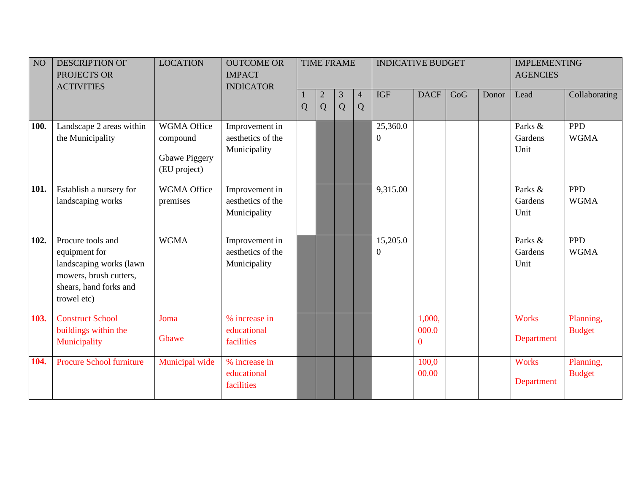| NO   | <b>DESCRIPTION OF</b><br>PROJECTS OR<br><b>ACTIVITIES</b>                                                                        | <b>LOCATION</b>                                                 | <b>OUTCOME OR</b><br><b>IMPACT</b><br><b>INDICATOR</b> |   | <b>TIME FRAME</b> |        |                     | <b>INDICATIVE BUDGET</b>     |                             |     |       | <b>IMPLEMENTING</b><br><b>AGENCIES</b> |                            |
|------|----------------------------------------------------------------------------------------------------------------------------------|-----------------------------------------------------------------|--------------------------------------------------------|---|-------------------|--------|---------------------|------------------------------|-----------------------------|-----|-------|----------------------------------------|----------------------------|
|      |                                                                                                                                  |                                                                 |                                                        | Q | $\mathbf{2}$<br>Q | 3<br>Q | $\overline{4}$<br>Q | <b>IGF</b>                   | <b>DACF</b>                 | GoG | Donor | Lead                                   | Collaborating              |
| 100. | Landscape 2 areas within<br>the Municipality                                                                                     | <b>WGMA Office</b><br>compound<br>Gbawe Piggery<br>(EU project) | Improvement in<br>aesthetics of the<br>Municipality    |   |                   |        |                     | 25,360.0<br>$\boldsymbol{0}$ |                             |     |       | Parks &<br>Gardens<br>Unit             | <b>PPD</b><br><b>WGMA</b>  |
| 101. | Establish a nursery for<br>landscaping works                                                                                     | <b>WGMA Office</b><br>premises                                  | Improvement in<br>aesthetics of the<br>Municipality    |   |                   |        |                     | 9,315.00                     |                             |     |       | Parks &<br>Gardens<br>Unit             | <b>PPD</b><br><b>WGMA</b>  |
| 102. | Procure tools and<br>equipment for<br>landscaping works (lawn<br>mowers, brush cutters,<br>shears, hand forks and<br>trowel etc) | <b>WGMA</b>                                                     | Improvement in<br>aesthetics of the<br>Municipality    |   |                   |        |                     | 15,205.0<br>$\mathbf{0}$     |                             |     |       | Parks &<br>Gardens<br>Unit             | <b>PPD</b><br><b>WGMA</b>  |
| 103. | <b>Construct School</b><br>buildings within the<br>Municipality                                                                  | Joma<br>Gbawe                                                   | % increase in<br>educational<br>facilities             |   |                   |        |                     |                              | 1,000,<br>000.0<br>$\theta$ |     |       | <b>Works</b><br>Department             | Planning,<br><b>Budget</b> |
| 104. | <b>Procure School furniture</b>                                                                                                  | Municipal wide                                                  | % increase in<br>educational<br>facilities             |   |                   |        |                     |                              | 100,0<br>00.00              |     |       | <b>Works</b><br>Department             | Planning,<br><b>Budget</b> |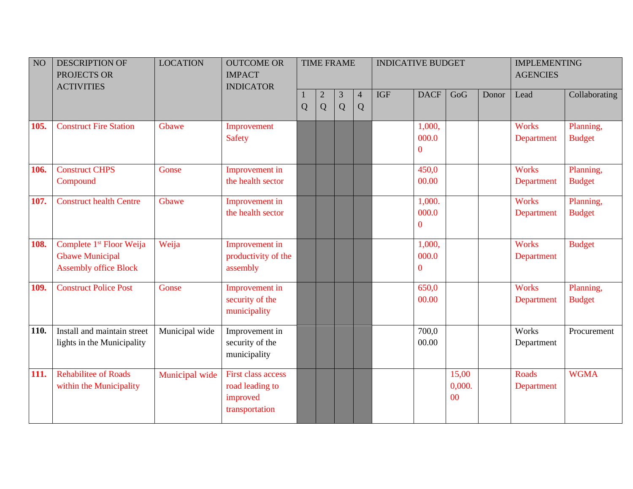| NO <sub>1</sub> | <b>DESCRIPTION OF</b><br>PROJECTS OR<br><b>ACTIVITIES</b>                                      | <b>LOCATION</b> | <b>OUTCOME OR</b><br><b>IMPACT</b><br><b>INDICATOR</b>                     |   |                 | <b>TIME FRAME</b> |                     | <b>INDICATIVE BUDGET</b> |                                     |                                   |       | <b>IMPLEMENTING</b><br><b>AGENCIES</b> |                            |
|-----------------|------------------------------------------------------------------------------------------------|-----------------|----------------------------------------------------------------------------|---|-----------------|-------------------|---------------------|--------------------------|-------------------------------------|-----------------------------------|-------|----------------------------------------|----------------------------|
|                 |                                                                                                |                 |                                                                            | Q | $\sqrt{2}$<br>Q | 3<br>Q            | $\overline{4}$<br>Q | <b>IGF</b>               | <b>DACF</b>                         | GoG                               | Donor | Lead                                   | Collaborating              |
| 105.            | <b>Construct Fire Station</b>                                                                  | Gbawe           | Improvement<br><b>Safety</b>                                               |   |                 |                   |                     |                          | 1,000,<br>000.0<br>$\mathbf{0}$     |                                   |       | <b>Works</b><br>Department             | Planning,<br><b>Budget</b> |
| 106.            | <b>Construct CHPS</b><br>Compound                                                              | Gonse           | Improvement in<br>the health sector                                        |   |                 |                   |                     |                          | 450,0<br>00.00                      |                                   |       | <b>Works</b><br>Department             | Planning,<br><b>Budget</b> |
| 107.            | <b>Construct health Centre</b>                                                                 | Gbawe           | Improvement in<br>the health sector                                        |   |                 |                   |                     |                          | 1,000.<br>000.0<br>$\boldsymbol{0}$ |                                   |       | <b>Works</b><br>Department             | Planning,<br><b>Budget</b> |
| 108.            | Complete 1 <sup>st</sup> Floor Weija<br><b>Gbawe Municipal</b><br><b>Assembly office Block</b> | Weija           | Improvement in<br>productivity of the<br>assembly                          |   |                 |                   |                     |                          | 1,000,<br>000.0<br>$\boldsymbol{0}$ |                                   |       | <b>Works</b><br>Department             | <b>Budget</b>              |
| 109.            | <b>Construct Police Post</b>                                                                   | Gonse           | Improvement in<br>security of the<br>municipality                          |   |                 |                   |                     |                          | 650,0<br>00.00                      |                                   |       | <b>Works</b><br>Department             | Planning,<br><b>Budget</b> |
| 110.            | Install and maintain street<br>lights in the Municipality                                      | Municipal wide  | Improvement in<br>security of the<br>municipality                          |   |                 |                   |                     |                          | 700,0<br>00.00                      |                                   |       | Works<br>Department                    | Procurement                |
| 111.            | <b>Rehabilitee of Roads</b><br>within the Municipality                                         | Municipal wide  | <b>First class access</b><br>road leading to<br>improved<br>transportation |   |                 |                   |                     |                          |                                     | 15,00<br>0,000.<br>0 <sup>0</sup> |       | Roads<br>Department                    | <b>WGMA</b>                |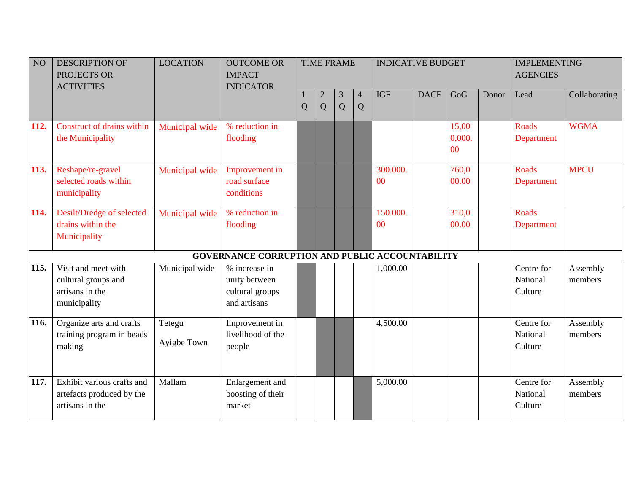| NO          | <b>DESCRIPTION OF</b><br>PROJECTS OR<br><b>ACTIVITIES</b>                     | <b>LOCATION</b>       | <b>OUTCOME OR</b><br><b>IMPACT</b><br><b>INDICATOR</b>            |                |                     | <b>TIME FRAME</b> |                     | <b>INDICATIVE BUDGET</b> |             |                                   |       | <b>IMPLEMENTING</b><br><b>AGENCIES</b> |                     |
|-------------|-------------------------------------------------------------------------------|-----------------------|-------------------------------------------------------------------|----------------|---------------------|-------------------|---------------------|--------------------------|-------------|-----------------------------------|-------|----------------------------------------|---------------------|
|             |                                                                               |                       |                                                                   | $\overline{Q}$ | $\overline{c}$<br>Q | 3<br>Q            | $\overline{4}$<br>Q | <b>IGF</b>               | <b>DACF</b> | GoG                               | Donor | Lead                                   | Collaborating       |
| 112.        | Construct of drains within<br>the Municipality                                | Municipal wide        | % reduction in<br>flooding                                        |                |                     |                   |                     |                          |             | 15,00<br>0,000.<br>0 <sup>0</sup> |       | Roads<br>Department                    | <b>WGMA</b>         |
| 113.        | Reshape/re-gravel<br>selected roads within<br>municipality                    | Municipal wide        | Improvement in<br>road surface<br>conditions                      |                |                     |                   |                     | 300.000.<br>00           |             | 760,0<br>00.00                    |       | Roads<br>Department                    | <b>MPCU</b>         |
| 114.        | Desilt/Dredge of selected<br>drains within the<br>Municipality                | Municipal wide        | % reduction in<br>flooding                                        |                |                     |                   |                     | 150.000.<br>00           |             | 310,0<br>00.00                    |       | Roads<br>Department                    |                     |
|             |                                                                               |                       | <b>GOVERNANCE CORRUPTION AND PUBLIC ACCOUNTABILITY</b>            |                |                     |                   |                     |                          |             |                                   |       |                                        |                     |
| 115.        | Visit and meet with<br>cultural groups and<br>artisans in the<br>municipality | Municipal wide        | % increase in<br>unity between<br>cultural groups<br>and artisans |                |                     |                   |                     | 1,000.00                 |             |                                   |       | Centre for<br>National<br>Culture      | Assembly<br>members |
| <b>116.</b> | Organize arts and crafts<br>training program in beads<br>making               | Tetegu<br>Ayigbe Town | Improvement in<br>livelihood of the<br>people                     |                |                     |                   |                     | 4,500.00                 |             |                                   |       | Centre for<br>National<br>Culture      | Assembly<br>members |
| 117.        | Exhibit various crafts and<br>artefacts produced by the<br>artisans in the    | Mallam                | Enlargement and<br>boosting of their<br>market                    |                |                     |                   |                     | 5,000.00                 |             |                                   |       | Centre for<br>National<br>Culture      | Assembly<br>members |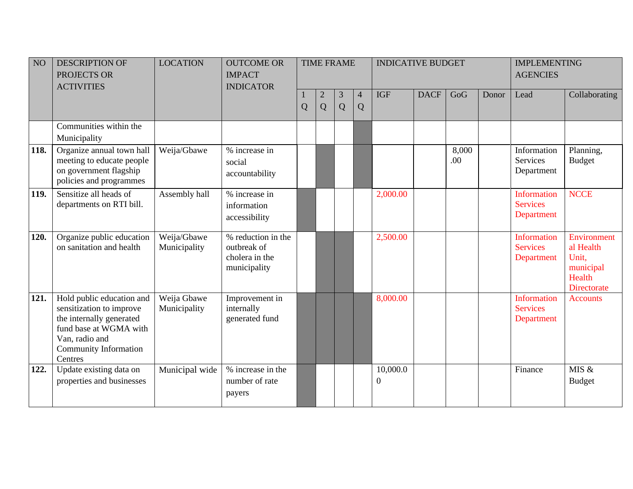| NO <sub>1</sub> | <b>DESCRIPTION OF</b><br>PROJECTS OR<br><b>ACTIVITIES</b>                                                                                                                | <b>LOCATION</b>             | <b>OUTCOME OR</b><br><b>IMPACT</b><br><b>INDICATOR</b>              |   |                     | <b>TIME FRAME</b> |                     | <b>INDICATIVE BUDGET</b> |             |              |       | <b>IMPLEMENTING</b><br><b>AGENCIES</b>       |                                                                         |
|-----------------|--------------------------------------------------------------------------------------------------------------------------------------------------------------------------|-----------------------------|---------------------------------------------------------------------|---|---------------------|-------------------|---------------------|--------------------------|-------------|--------------|-------|----------------------------------------------|-------------------------------------------------------------------------|
|                 |                                                                                                                                                                          |                             |                                                                     | Q | $\overline{c}$<br>Q | 3<br>Q            | $\overline{4}$<br>Q | <b>IGF</b>               | <b>DACF</b> | GoG          | Donor | Lead                                         | Collaborating                                                           |
|                 | Communities within the<br>Municipality                                                                                                                                   |                             |                                                                     |   |                     |                   |                     |                          |             |              |       |                                              |                                                                         |
| 118.            | Organize annual town hall<br>meeting to educate people<br>on government flagship<br>policies and programmes                                                              | Weija/Gbawe                 | % increase in<br>social<br>accountability                           |   |                     |                   |                     |                          |             | 8,000<br>.00 |       | Information<br>Services<br>Department        | Planning,<br><b>Budget</b>                                              |
| 119.            | Sensitize all heads of<br>departments on RTI bill.                                                                                                                       | Assembly hall               | % increase in<br>information<br>accessibility                       |   |                     |                   |                     | 2,000.00                 |             |              |       | Information<br><b>Services</b><br>Department | <b>NCCE</b>                                                             |
| 120.            | Organize public education<br>on sanitation and health                                                                                                                    | Weija/Gbawe<br>Municipality | % reduction in the<br>outbreak of<br>cholera in the<br>municipality |   |                     |                   |                     | 2,500.00                 |             |              |       | Information<br><b>Services</b><br>Department | Environment<br>al Health<br>Unit,<br>municipal<br>Health<br>Directorate |
| 121.            | Hold public education and<br>sensitization to improve<br>the internally generated<br>fund base at WGMA with<br>Van, radio and<br><b>Community Information</b><br>Centres | Weija Gbawe<br>Municipality | Improvement in<br>internally<br>generated fund                      |   |                     |                   |                     | 8,000.00                 |             |              |       | Information<br><b>Services</b><br>Department | <b>Accounts</b>                                                         |
| 122.            | Update existing data on<br>properties and businesses                                                                                                                     | Municipal wide              | % increase in the<br>number of rate<br>payers                       |   |                     |                   |                     | 10,000.0<br>0            |             |              |       | Finance                                      | MIS &<br><b>Budget</b>                                                  |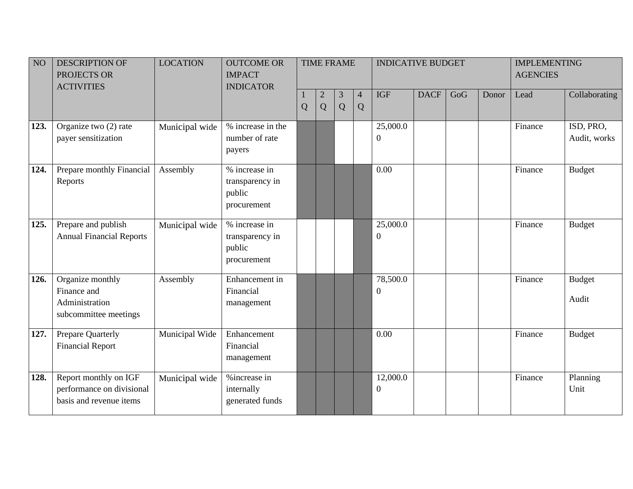| NO   | <b>DESCRIPTION OF</b><br>PROJECTS OR<br><b>ACTIVITIES</b>                     | <b>LOCATION</b> | <b>OUTCOME OR</b><br><b>IMPACT</b><br><b>INDICATOR</b>    |   |                     | <b>TIME FRAME</b>   |                     | <b>INDICATIVE BUDGET</b>     |             |     |       | <b>IMPLEMENTING</b><br><b>AGENCIES</b> |                           |
|------|-------------------------------------------------------------------------------|-----------------|-----------------------------------------------------------|---|---------------------|---------------------|---------------------|------------------------------|-------------|-----|-------|----------------------------------------|---------------------------|
|      |                                                                               |                 |                                                           | Q | $\overline{2}$<br>Q | $\overline{3}$<br>Q | $\overline{4}$<br>Q | <b>IGF</b>                   | <b>DACF</b> | GoG | Donor | Lead                                   | Collaborating             |
| 123. | Organize two (2) rate<br>payer sensitization                                  | Municipal wide  | % increase in the<br>number of rate<br>payers             |   |                     |                     |                     | 25,000.0<br>0                |             |     |       | Finance                                | ISD, PRO,<br>Audit, works |
| 124. | Prepare monthly Financial<br>Reports                                          | Assembly        | % increase in<br>transparency in<br>public<br>procurement |   |                     |                     |                     | 0.00                         |             |     |       | Finance                                | <b>Budget</b>             |
| 125. | Prepare and publish<br><b>Annual Financial Reports</b>                        | Municipal wide  | % increase in<br>transparency in<br>public<br>procurement |   |                     |                     |                     | 25,000.0<br>$\boldsymbol{0}$ |             |     |       | Finance                                | <b>Budget</b>             |
| 126. | Organize monthly<br>Finance and<br>Administration<br>subcommittee meetings    | Assembly        | Enhancement in<br>Financial<br>management                 |   |                     |                     |                     | 78,500.0<br>$\overline{0}$   |             |     |       | Finance                                | <b>Budget</b><br>Audit    |
| 127. | Prepare Quarterly<br><b>Financial Report</b>                                  | Municipal Wide  | Enhancement<br>Financial<br>management                    |   |                     |                     |                     | 0.00                         |             |     |       | Finance                                | <b>Budget</b>             |
| 128. | Report monthly on IGF<br>performance on divisional<br>basis and revenue items | Municipal wide  | %increase in<br>internally<br>generated funds             |   |                     |                     |                     | 12,000.0<br>$\boldsymbol{0}$ |             |     |       | Finance                                | Planning<br>Unit          |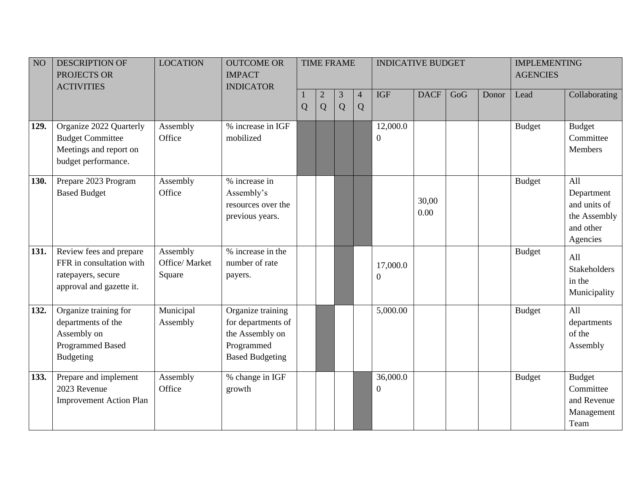| NO <sub>1</sub> | <b>DESCRIPTION OF</b><br>PROJECTS OR                                                                      | <b>LOCATION</b>                      | <b>OUTCOME OR</b><br><b>IMPACT</b>                                                                 |   |                     | <b>TIME FRAME</b> |                     | <b>INDICATIVE BUDGET</b>     |               |     |       | <b>IMPLEMENTING</b><br><b>AGENCIES</b> |                                                                            |
|-----------------|-----------------------------------------------------------------------------------------------------------|--------------------------------------|----------------------------------------------------------------------------------------------------|---|---------------------|-------------------|---------------------|------------------------------|---------------|-----|-------|----------------------------------------|----------------------------------------------------------------------------|
|                 | <b>ACTIVITIES</b>                                                                                         |                                      | <b>INDICATOR</b>                                                                                   |   |                     |                   |                     |                              |               |     |       |                                        |                                                                            |
|                 |                                                                                                           |                                      |                                                                                                    | Q | $\overline{2}$<br>Q | 3<br>Q            | $\overline{4}$<br>Q | <b>IGF</b>                   | <b>DACF</b>   | GoG | Donor | Lead                                   | Collaborating                                                              |
| 129.            | Organize 2022 Quarterly<br><b>Budget Committee</b><br>Meetings and report on<br>budget performance.       | Assembly<br>Office                   | % increase in IGF<br>mobilized                                                                     |   |                     |                   |                     | 12,000.0<br>$\boldsymbol{0}$ |               |     |       | <b>Budget</b>                          | Budget<br>Committee<br>Members                                             |
| 130.            | Prepare 2023 Program<br><b>Based Budget</b>                                                               | Assembly<br>Office                   | % increase in<br>Assembly's<br>resources over the<br>previous years.                               |   |                     |                   |                     |                              | 30,00<br>0.00 |     |       | <b>Budget</b>                          | All<br>Department<br>and units of<br>the Assembly<br>and other<br>Agencies |
| 131.            | Review fees and prepare<br>FFR in consultation with<br>ratepayers, secure<br>approval and gazette it.     | Assembly<br>Office/ Market<br>Square | % increase in the<br>number of rate<br>payers.                                                     |   |                     |                   |                     | 17,000.0<br>$\boldsymbol{0}$ |               |     |       | <b>Budget</b>                          | All<br><b>Stakeholders</b><br>in the<br>Municipality                       |
| 132.            | Organize training for<br>departments of the<br>Assembly on<br><b>Programmed Based</b><br><b>Budgeting</b> | Municipal<br>Assembly                | Organize training<br>for departments of<br>the Assembly on<br>Programmed<br><b>Based Budgeting</b> |   |                     |                   |                     | 5,000.00                     |               |     |       | <b>Budget</b>                          | All<br>departments<br>of the<br>Assembly                                   |
| 133.            | Prepare and implement<br>2023 Revenue<br><b>Improvement Action Plan</b>                                   | Assembly<br>Office                   | % change in IGF<br>growth                                                                          |   |                     |                   |                     | 36,000.0<br>$\overline{0}$   |               |     |       | <b>Budget</b>                          | <b>Budget</b><br>Committee<br>and Revenue<br>Management<br>Team            |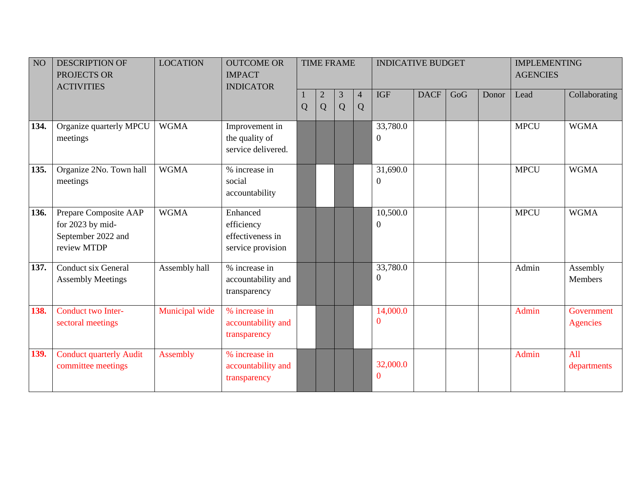| NO   | <b>DESCRIPTION OF</b><br>PROJECTS OR<br><b>ACTIVITIES</b>                      | <b>LOCATION</b> | <b>OUTCOME OR</b><br><b>IMPACT</b><br><b>INDICATOR</b>          |                |                   | <b>TIME FRAME</b> |                     | <b>INDICATIVE BUDGET</b>     |             |     |       | <b>IMPLEMENTING</b><br><b>AGENCIES</b> |                               |
|------|--------------------------------------------------------------------------------|-----------------|-----------------------------------------------------------------|----------------|-------------------|-------------------|---------------------|------------------------------|-------------|-----|-------|----------------------------------------|-------------------------------|
|      |                                                                                |                 |                                                                 | $\overline{Q}$ | $\mathbf{2}$<br>Q | 3<br>Q            | $\overline{4}$<br>Q | <b>IGF</b>                   | <b>DACF</b> | GoG | Donor | Lead                                   | Collaborating                 |
| 134. | Organize quarterly MPCU<br>meetings                                            | <b>WGMA</b>     | Improvement in<br>the quality of<br>service delivered.          |                |                   |                   |                     | 33,780.0<br>$\overline{0}$   |             |     |       | <b>MPCU</b>                            | <b>WGMA</b>                   |
| 135. | Organize 2No. Town hall<br>meetings                                            | <b>WGMA</b>     | % increase in<br>social<br>accountability                       |                |                   |                   |                     | 31,690.0<br>$\boldsymbol{0}$ |             |     |       | <b>MPCU</b>                            | <b>WGMA</b>                   |
| 136. | Prepare Composite AAP<br>for 2023 by mid-<br>September 2022 and<br>review MTDP | <b>WGMA</b>     | Enhanced<br>efficiency<br>effectiveness in<br>service provision |                |                   |                   |                     | 10,500.0<br>$\boldsymbol{0}$ |             |     |       | <b>MPCU</b>                            | <b>WGMA</b>                   |
| 137. | <b>Conduct six General</b><br><b>Assembly Meetings</b>                         | Assembly hall   | % increase in<br>accountability and<br>transparency             |                |                   |                   |                     | 33,780.0<br>$\overline{0}$   |             |     |       | Admin                                  | Assembly<br><b>Members</b>    |
| 138. | Conduct two Inter-<br>sectoral meetings                                        | Municipal wide  | % increase in<br>accountability and<br>transparency             |                |                   |                   |                     | 14,000.0<br>0                |             |     |       | Admin                                  | Government<br><b>Agencies</b> |
| 139. | <b>Conduct quarterly Audit</b><br>committee meetings                           | Assembly        | % increase in<br>accountability and<br>transparency             |                |                   |                   |                     | 32,000.0<br>$\bf{0}$         |             |     |       | Admin                                  | All<br>departments            |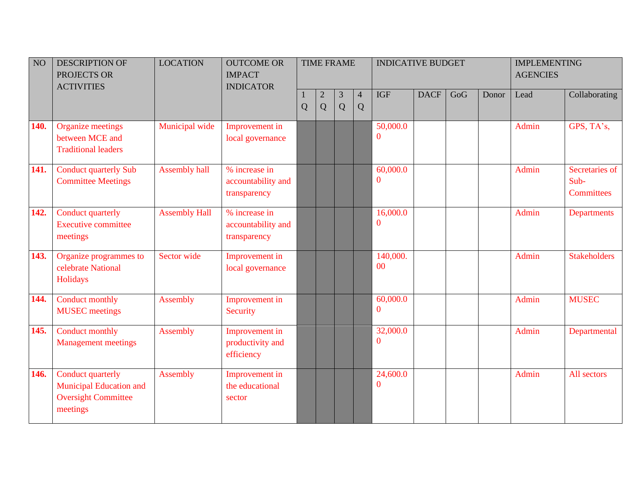| NO   | <b>DESCRIPTION OF</b><br>PROJECTS OR<br><b>ACTIVITIES</b>                                     | <b>LOCATION</b>      | <b>OUTCOME OR</b><br><b>IMPACT</b><br><b>INDICATOR</b> |                |                   | <b>TIME FRAME</b> |                     | <b>INDICATIVE BUDGET</b> |             |     |       | <b>IMPLEMENTING</b><br><b>AGENCIES</b> |                                      |
|------|-----------------------------------------------------------------------------------------------|----------------------|--------------------------------------------------------|----------------|-------------------|-------------------|---------------------|--------------------------|-------------|-----|-------|----------------------------------------|--------------------------------------|
|      |                                                                                               |                      |                                                        | $\overline{Q}$ | $\mathbf{2}$<br>Q | 3<br>Q            | $\overline{4}$<br>Q | <b>IGF</b>               | <b>DACF</b> | GoG | Donor | Lead                                   | Collaborating                        |
| 140. | <b>Organize meetings</b><br>between MCE and<br><b>Traditional leaders</b>                     | Municipal wide       | Improvement in<br>local governance                     |                |                   |                   |                     | 50,000.0<br>$\Omega$     |             |     |       | <b>Admin</b>                           | GPS, TA's,                           |
| 141. | <b>Conduct quarterly Sub</b><br><b>Committee Meetings</b>                                     | <b>Assembly hall</b> | % increase in<br>accountability and<br>transparency    |                |                   |                   |                     | 60,000.0<br>$\mathbf{0}$ |             |     |       | Admin                                  | Secretaries of<br>Sub-<br>Committees |
| 142. | Conduct quarterly<br><b>Executive committee</b><br>meetings                                   | <b>Assembly Hall</b> | % increase in<br>accountability and<br>transparency    |                |                   |                   |                     | 16,000.0<br>$\mathbf{0}$ |             |     |       | Admin                                  | <b>Departments</b>                   |
| 143. | Organize programmes to<br>celebrate National<br>Holidays                                      | Sector wide          | Improvement in<br>local governance                     |                |                   |                   |                     | 140,000.<br>00           |             |     |       | <b>Admin</b>                           | <b>Stakeholders</b>                  |
| 144. | Conduct monthly<br><b>MUSEC</b> meetings                                                      | Assembly             | Improvement in<br>Security                             |                |                   |                   |                     | 60,000.0<br>$\mathbf{0}$ |             |     |       | Admin                                  | <b>MUSEC</b>                         |
| 145. | Conduct monthly<br><b>Management meetings</b>                                                 | Assembly             | Improvement in<br>productivity and<br>efficiency       |                |                   |                   |                     | 32,000.0<br>$\bf{0}$     |             |     |       | Admin                                  | Departmental                         |
| 146. | Conduct quarterly<br><b>Municipal Education and</b><br><b>Oversight Committee</b><br>meetings | Assembly             | Improvement in<br>the educational<br>sector            |                |                   |                   |                     | 24,600.0<br>$\bf{0}$     |             |     |       | Admin                                  | All sectors                          |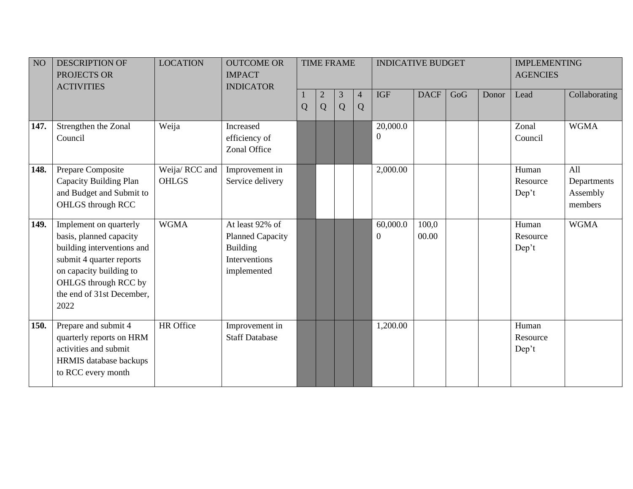| NO <sub>1</sub> | <b>DESCRIPTION OF</b><br>PROJECTS OR<br><b>ACTIVITIES</b>                                                                                                                                           | <b>LOCATION</b>               | <b>OUTCOME OR</b><br><b>IMPACT</b><br><b>INDICATOR</b>                                        |   |                     | <b>TIME FRAME</b> |                     | <b>INDICATIVE BUDGET</b>     |                |     |       | <b>IMPLEMENTING</b><br><b>AGENCIES</b> |                                           |
|-----------------|-----------------------------------------------------------------------------------------------------------------------------------------------------------------------------------------------------|-------------------------------|-----------------------------------------------------------------------------------------------|---|---------------------|-------------------|---------------------|------------------------------|----------------|-----|-------|----------------------------------------|-------------------------------------------|
|                 |                                                                                                                                                                                                     |                               |                                                                                               | Q | $\overline{2}$<br>Q | 3<br>Q            | $\overline{4}$<br>Q | <b>IGF</b>                   | <b>DACF</b>    | GoG | Donor | Lead                                   | Collaborating                             |
| 147.            | Strengthen the Zonal<br>Council                                                                                                                                                                     | Weija                         | Increased<br>efficiency of<br>Zonal Office                                                    |   |                     |                   |                     | 20,000.0<br>$\boldsymbol{0}$ |                |     |       | Zonal<br>Council                       | <b>WGMA</b>                               |
| 148.            | Prepare Composite<br>Capacity Building Plan<br>and Budget and Submit to<br>OHLGS through RCC                                                                                                        | Weija/RCC and<br><b>OHLGS</b> | Improvement in<br>Service delivery                                                            |   |                     |                   |                     | 2,000.00                     |                |     |       | Human<br>Resource<br>Dep't             | All<br>Departments<br>Assembly<br>members |
| 149.            | Implement on quarterly<br>basis, planned capacity<br>building interventions and<br>submit 4 quarter reports<br>on capacity building to<br>OHLGS through RCC by<br>the end of 31st December,<br>2022 | <b>WGMA</b>                   | At least 92% of<br><b>Planned Capacity</b><br><b>Building</b><br>Interventions<br>implemented |   |                     |                   |                     | 60,000.0<br>$\boldsymbol{0}$ | 100,0<br>00.00 |     |       | Human<br>Resource<br>Dep't             | <b>WGMA</b>                               |
| <b>150.</b>     | Prepare and submit 4<br>quarterly reports on HRM<br>activities and submit<br><b>HRMIS</b> database backups<br>to RCC every month                                                                    | HR Office                     | Improvement in<br><b>Staff Database</b>                                                       |   |                     |                   |                     | 1,200.00                     |                |     |       | Human<br>Resource<br>Dep't             |                                           |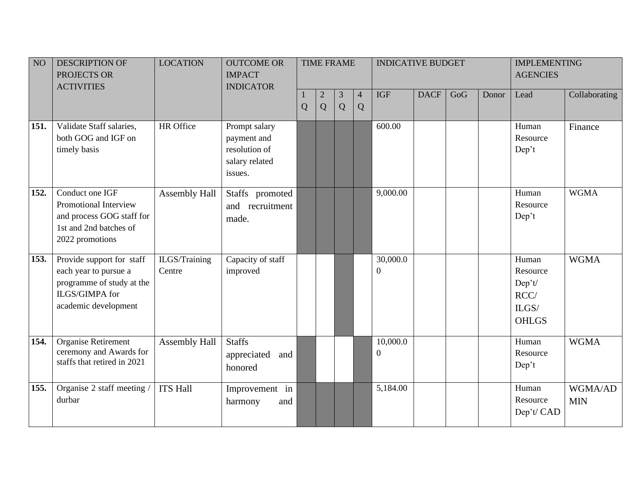| NO   | <b>DESCRIPTION OF</b><br>PROJECTS OR<br><b>ACTIVITIES</b>                                                                 | <b>LOCATION</b>         | <b>OUTCOME OR</b><br><b>IMPACT</b><br><b>INDICATOR</b>                     |   |                     | <b>TIME FRAME</b> |                     | <b>INDICATIVE BUDGET</b>     |             |     |       | <b>IMPLEMENTING</b><br><b>AGENCIES</b>                       |                       |
|------|---------------------------------------------------------------------------------------------------------------------------|-------------------------|----------------------------------------------------------------------------|---|---------------------|-------------------|---------------------|------------------------------|-------------|-----|-------|--------------------------------------------------------------|-----------------------|
|      |                                                                                                                           |                         |                                                                            | Q | $\overline{2}$<br>Q | 3<br>Q            | $\overline{4}$<br>Q | <b>IGF</b>                   | <b>DACF</b> | GoG | Donor | Lead                                                         | Collaborating         |
| 151. | Validate Staff salaries,<br>both GOG and IGF on<br>timely basis                                                           | <b>HR</b> Office        | Prompt salary<br>payment and<br>resolution of<br>salary related<br>issues. |   |                     |                   |                     | 600.00                       |             |     |       | Human<br>Resource<br>Dep't                                   | Finance               |
| 152. | Conduct one IGF<br>Promotional Interview<br>and process GOG staff for<br>1st and 2nd batches of<br>2022 promotions        | Assembly Hall           | Staffs promoted<br>and recruitment<br>made.                                |   |                     |                   |                     | 9,000.00                     |             |     |       | Human<br>Resource<br>Dep't                                   | <b>WGMA</b>           |
| 153. | Provide support for staff<br>each year to pursue a<br>programme of study at the<br>ILGS/GIMPA for<br>academic development | ILGS/Training<br>Centre | Capacity of staff<br>improved                                              |   |                     |                   |                     | 30,000.0<br>0                |             |     |       | Human<br>Resource<br>Dep't/<br>RCC/<br>ILGS/<br><b>OHLGS</b> | <b>WGMA</b>           |
| 154. | Organise Retirement<br>ceremony and Awards for<br>staffs that retired in 2021                                             | Assembly Hall           | <b>Staffs</b><br>appreciated<br>and<br>honored                             |   |                     |                   |                     | 10,000.0<br>$\boldsymbol{0}$ |             |     |       | Human<br>Resource<br>Dep't                                   | <b>WGMA</b>           |
| 155. | Organise 2 staff meeting /<br>durbar                                                                                      | <b>ITS Hall</b>         | Improvement in<br>and<br>harmony                                           |   |                     |                   |                     | 5,184.00                     |             |     |       | Human<br>Resource<br>Dep't/ CAD                              | WGMA/AD<br><b>MIN</b> |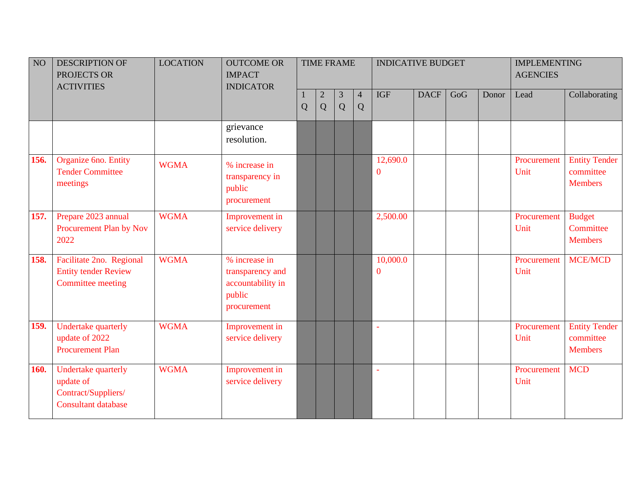| NO          | <b>DESCRIPTION OF</b><br>PROJECTS OR<br><b>ACTIVITIES</b>                             | <b>LOCATION</b> | <b>OUTCOME OR</b><br><b>IMPACT</b><br><b>INDICATOR</b>                          |   |                   | <b>TIME FRAME</b> |                     | <b>INDICATIVE BUDGET</b>     |             |     |       | <b>IMPLEMENTING</b><br><b>AGENCIES</b> |                                                     |
|-------------|---------------------------------------------------------------------------------------|-----------------|---------------------------------------------------------------------------------|---|-------------------|-------------------|---------------------|------------------------------|-------------|-----|-------|----------------------------------------|-----------------------------------------------------|
|             |                                                                                       |                 |                                                                                 | Q | $\mathbf{2}$<br>Q | 3<br>Q            | $\overline{4}$<br>Q | <b>IGF</b>                   | <b>DACF</b> | GoG | Donor | Lead                                   | Collaborating                                       |
|             |                                                                                       |                 | grievance<br>resolution.                                                        |   |                   |                   |                     |                              |             |     |       |                                        |                                                     |
| 156.        | Organize 6no. Entity<br><b>Tender Committee</b><br>meetings                           | <b>WGMA</b>     | % increase in<br>transparency in<br>public<br>procurement                       |   |                   |                   |                     | 12,690.0<br>$\boldsymbol{0}$ |             |     |       | Procurement<br>Unit                    | <b>Entity Tender</b><br>committee<br><b>Members</b> |
| 157.        | Prepare 2023 annual<br>Procurement Plan by Nov<br>2022                                | <b>WGMA</b>     | Improvement in<br>service delivery                                              |   |                   |                   |                     | 2,500.00                     |             |     |       | Procurement<br>Unit                    | <b>Budget</b><br>Committee<br><b>Members</b>        |
| 158.        | Facilitate 2no. Regional<br><b>Entity tender Review</b><br><b>Committee meeting</b>   | <b>WGMA</b>     | % increase in<br>transparency and<br>accountability in<br>public<br>procurement |   |                   |                   |                     | 10,000.0<br>$\overline{0}$   |             |     |       | Procurement<br>Unit                    | <b>MCE/MCD</b>                                      |
| 159.        | Undertake quarterly<br>update of 2022<br><b>Procurement Plan</b>                      | <b>WGMA</b>     | Improvement in<br>service delivery                                              |   |                   |                   |                     | ä,                           |             |     |       | Procurement<br>Unit                    | <b>Entity Tender</b><br>committee<br><b>Members</b> |
| <b>160.</b> | Undertake quarterly<br>update of<br>Contract/Suppliers/<br><b>Consultant database</b> | <b>WGMA</b>     | Improvement in<br>service delivery                                              |   |                   |                   |                     | $\omega$                     |             |     |       | Procurement<br>Unit                    | <b>MCD</b>                                          |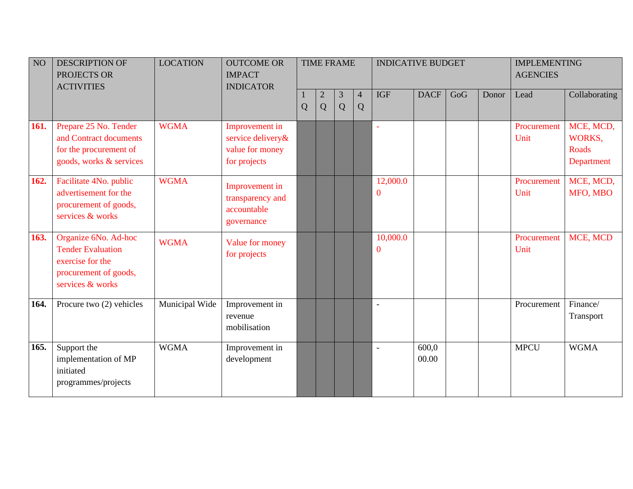| NO   | <b>DESCRIPTION OF</b><br>PROJECTS OR<br><b>ACTIVITIES</b>                                                         | <b>LOCATION</b> | <b>OUTCOME OR</b><br><b>IMPACT</b><br><b>INDICATOR</b>                 |   |                   | <b>TIME FRAME</b> |                     | <b>INDICATIVE BUDGET</b> |                |     |       | <b>IMPLEMENTING</b><br><b>AGENCIES</b> |                                                   |
|------|-------------------------------------------------------------------------------------------------------------------|-----------------|------------------------------------------------------------------------|---|-------------------|-------------------|---------------------|--------------------------|----------------|-----|-------|----------------------------------------|---------------------------------------------------|
|      |                                                                                                                   |                 |                                                                        | Q | $\mathbf{2}$<br>Q | 3<br>Q            | $\overline{4}$<br>Q | <b>IGF</b>               | <b>DACF</b>    | GoG | Donor | Lead                                   | Collaborating                                     |
| 161. | Prepare 25 No. Tender<br>and Contract documents<br>for the procurement of<br>goods, works & services              | <b>WGMA</b>     | Improvement in<br>service delivery&<br>value for money<br>for projects |   |                   |                   |                     | $\mathbf{v}$             |                |     |       | Procurement<br>Unit                    | MCE, MCD,<br>WORKS,<br><b>Roads</b><br>Department |
| 162. | Facilitate 4No. public<br>advertisement for the<br>procurement of goods,<br>services & works                      | <b>WGMA</b>     | Improvement in<br>transparency and<br>accountable<br>governance        |   |                   |                   |                     | 12,000.0<br>$\mathbf{0}$ |                |     |       | Procurement<br>Unit                    | MCE, MCD,<br>MFO, MBO                             |
| 163. | Organize 6No. Ad-hoc<br><b>Tender Evaluation</b><br>exercise for the<br>procurement of goods,<br>services & works | <b>WGMA</b>     | Value for money<br>for projects                                        |   |                   |                   |                     | 10,000.0<br>$\mathbf{0}$ |                |     |       | Procurement<br>Unit                    | MCE, MCD                                          |
| 164. | Procure two (2) vehicles                                                                                          | Municipal Wide  | Improvement in<br>revenue<br>mobilisation                              |   |                   |                   |                     | $\blacksquare$           |                |     |       | Procurement                            | Finance/<br>Transport                             |
| 165. | Support the<br>implementation of MP<br>initiated<br>programmes/projects                                           | <b>WGMA</b>     | Improvement in<br>development                                          |   |                   |                   |                     | $\overline{\phantom{a}}$ | 600,0<br>00.00 |     |       | <b>MPCU</b>                            | <b>WGMA</b>                                       |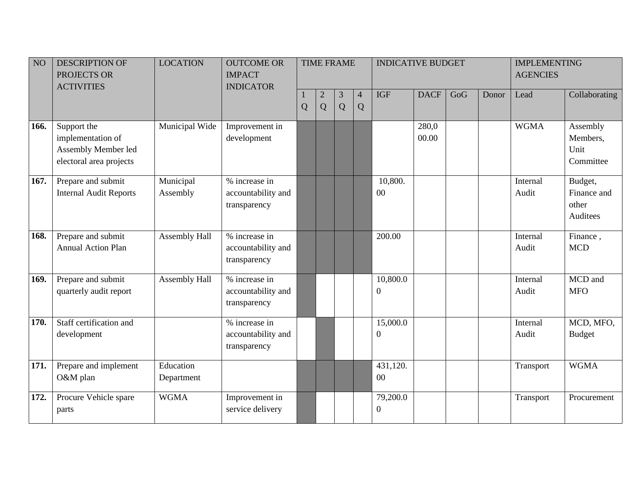| NO   | <b>DESCRIPTION OF</b><br>PROJECTS OR<br><b>ACTIVITIES</b>                          | <b>LOCATION</b>         | <b>OUTCOME OR</b><br><b>IMPACT</b><br><b>INDICATOR</b> |                | <b>TIME FRAME</b> |        |                     | <b>INDICATIVE BUDGET</b>     |                |     |       | <b>IMPLEMENTING</b><br><b>AGENCIES</b> |                                             |
|------|------------------------------------------------------------------------------------|-------------------------|--------------------------------------------------------|----------------|-------------------|--------|---------------------|------------------------------|----------------|-----|-------|----------------------------------------|---------------------------------------------|
|      |                                                                                    |                         |                                                        | $\overline{Q}$ | $\mathbf{2}$<br>Q | 3<br>Q | $\overline{4}$<br>Q | <b>IGF</b>                   | <b>DACF</b>    | GoG | Donor | Lead                                   | Collaborating                               |
| 166. | Support the<br>implementation of<br>Assembly Member led<br>electoral area projects | Municipal Wide          | Improvement in<br>development                          |                |                   |        |                     |                              | 280,0<br>00.00 |     |       | <b>WGMA</b>                            | Assembly<br>Members,<br>Unit<br>Committee   |
| 167. | Prepare and submit<br><b>Internal Audit Reports</b>                                | Municipal<br>Assembly   | % increase in<br>accountability and<br>transparency    |                |                   |        |                     | 10,800.<br>00                |                |     |       | Internal<br>Audit                      | Budget,<br>Finance and<br>other<br>Auditees |
| 168. | Prepare and submit<br><b>Annual Action Plan</b>                                    | Assembly Hall           | % increase in<br>accountability and<br>transparency    |                |                   |        |                     | 200.00                       |                |     |       | Internal<br>Audit                      | Finance,<br><b>MCD</b>                      |
| 169. | Prepare and submit<br>quarterly audit report                                       | Assembly Hall           | % increase in<br>accountability and<br>transparency    |                |                   |        |                     | 10,800.0<br>$\boldsymbol{0}$ |                |     |       | Internal<br>Audit                      | MCD and<br><b>MFO</b>                       |
| 170. | Staff certification and<br>development                                             |                         | % increase in<br>accountability and<br>transparency    |                |                   |        |                     | 15,000.0<br>$\mathbf{0}$     |                |     |       | Internal<br>Audit                      | MCD, MFO,<br><b>Budget</b>                  |
| 171. | Prepare and implement<br>O&M plan                                                  | Education<br>Department |                                                        |                |                   |        |                     | 431,120.<br>00               |                |     |       | Transport                              | <b>WGMA</b>                                 |
| 172. | Procure Vehicle spare<br>parts                                                     | <b>WGMA</b>             | Improvement in<br>service delivery                     |                |                   |        |                     | 79,200.0<br>$\boldsymbol{0}$ |                |     |       | Transport                              | Procurement                                 |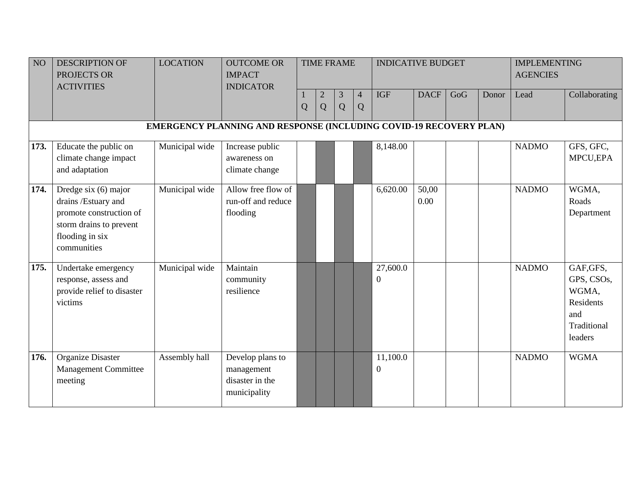| NO   | <b>DESCRIPTION OF</b><br>PROJECTS OR<br><b>ACTIVITIES</b>                                                                           | <b>LOCATION</b> | <b>OUTCOME OR</b><br><b>IMPACT</b><br><b>INDICATOR</b>             |   |                     | <b>TIME FRAME</b> |                     | <b>INDICATIVE BUDGET</b>     |               |     |       | <b>IMPLEMENTING</b><br><b>AGENCIES</b> |                                                                                |
|------|-------------------------------------------------------------------------------------------------------------------------------------|-----------------|--------------------------------------------------------------------|---|---------------------|-------------------|---------------------|------------------------------|---------------|-----|-------|----------------------------------------|--------------------------------------------------------------------------------|
|      |                                                                                                                                     |                 |                                                                    | Q | $\overline{c}$<br>Q | 3<br>Q            | $\overline{4}$<br>Q | <b>IGF</b>                   | <b>DACF</b>   | GoG | Donor | Lead                                   | Collaborating                                                                  |
|      |                                                                                                                                     |                 | EMERGENCY PLANNING AND RESPONSE (INCLUDING COVID-19 RECOVERY PLAN) |   |                     |                   |                     |                              |               |     |       |                                        |                                                                                |
| 173. | Educate the public on<br>climate change impact<br>and adaptation                                                                    | Municipal wide  | Increase public<br>awareness on<br>climate change                  |   |                     |                   |                     | 8,148.00                     |               |     |       | <b>NADMO</b>                           | GFS, GFC,<br>MPCU, EPA                                                         |
| 174. | Dredge six (6) major<br>drains /Estuary and<br>promote construction of<br>storm drains to prevent<br>flooding in six<br>communities | Municipal wide  | Allow free flow of<br>run-off and reduce<br>flooding               |   |                     |                   |                     | 6,620.00                     | 50,00<br>0.00 |     |       | <b>NADMO</b>                           | WGMA,<br>Roads<br>Department                                                   |
| 175. | Undertake emergency<br>response, assess and<br>provide relief to disaster<br>victims                                                | Municipal wide  | Maintain<br>community<br>resilience                                |   |                     |                   |                     | 27,600.0<br>$\boldsymbol{0}$ |               |     |       | <b>NADMO</b>                           | GAF, GFS,<br>GPS, CSOs,<br>WGMA,<br>Residents<br>and<br>Traditional<br>leaders |
| 176. | <b>Organize Disaster</b><br><b>Management Committee</b><br>meeting                                                                  | Assembly hall   | Develop plans to<br>management<br>disaster in the<br>municipality  |   |                     |                   |                     | 11,100.0<br>$\overline{0}$   |               |     |       | <b>NADMO</b>                           | <b>WGMA</b>                                                                    |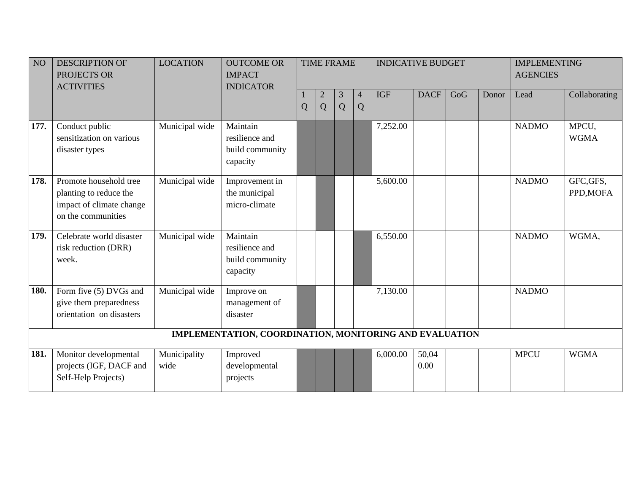| NO <sub>1</sub> | <b>DESCRIPTION OF</b><br>PROJECTS OR<br><b>ACTIVITIES</b>                                          | <b>LOCATION</b>      | <b>OUTCOME OR</b><br><b>IMPACT</b><br><b>INDICATOR</b>    |   |                 | <b>TIME FRAME</b> |                     | <b>INDICATIVE BUDGET</b> |               |     |       | <b>IMPLEMENTING</b><br><b>AGENCIES</b> |                        |
|-----------------|----------------------------------------------------------------------------------------------------|----------------------|-----------------------------------------------------------|---|-----------------|-------------------|---------------------|--------------------------|---------------|-----|-------|----------------------------------------|------------------------|
|                 |                                                                                                    |                      |                                                           | Q | $\sqrt{2}$<br>Q | 3<br>Q            | $\overline{4}$<br>Q | <b>IGF</b>               | <b>DACF</b>   | GoG | Donor | Lead                                   | Collaborating          |
| 177.            | Conduct public<br>sensitization on various<br>disaster types                                       | Municipal wide       | Maintain<br>resilience and<br>build community<br>capacity |   |                 |                   |                     | 7,252.00                 |               |     |       | <b>NADMO</b>                           | MPCU,<br><b>WGMA</b>   |
| 178.            | Promote household tree<br>planting to reduce the<br>impact of climate change<br>on the communities | Municipal wide       | Improvement in<br>the municipal<br>micro-climate          |   |                 |                   |                     | 5,600.00                 |               |     |       | <b>NADMO</b>                           | GFC, GFS,<br>PPD, MOFA |
| 179.            | Celebrate world disaster<br>risk reduction (DRR)<br>week.                                          | Municipal wide       | Maintain<br>resilience and<br>build community<br>capacity |   |                 |                   |                     | 6,550.00                 |               |     |       | <b>NADMO</b>                           | WGMA,                  |
| 180.            | Form five (5) DVGs and<br>give them preparedness<br>orientation on disasters                       | Municipal wide       | Improve on<br>management of<br>disaster                   |   |                 |                   |                     | 7,130.00                 |               |     |       | <b>NADMO</b>                           |                        |
|                 |                                                                                                    |                      | IMPLEMENTATION, COORDINATION, MONITORING AND EVALUATION   |   |                 |                   |                     |                          |               |     |       |                                        |                        |
| 181.            | Monitor developmental<br>projects (IGF, DACF and<br>Self-Help Projects)                            | Municipality<br>wide | Improved<br>developmental<br>projects                     |   |                 |                   |                     | 6,000.00                 | 50,04<br>0.00 |     |       | <b>MPCU</b>                            | <b>WGMA</b>            |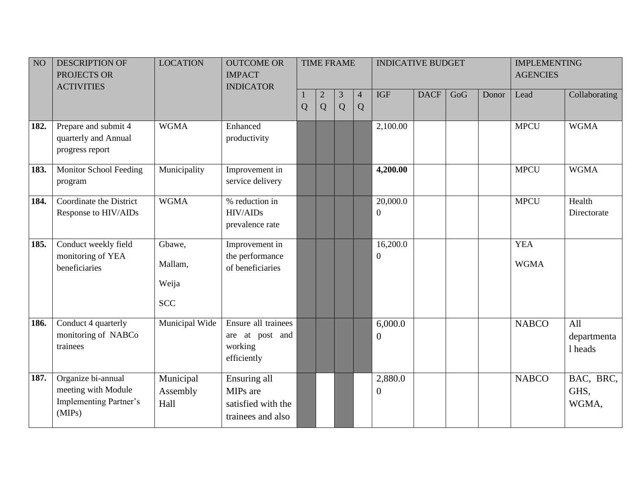| NO   | <b>DESCRIPTION OF</b><br>PROJECTS OR<br><b>ACTIVITIES</b>                            | <b>LOCATION</b>                          | <b>OUTCOME OR</b><br><b>IMPACT</b><br><b>INDICATOR</b>              |   |                   | <b>TIME FRAME</b> |                     | <b>INDICATIVE BUDGET</b>     |             |     |       | <b>IMPLEMENTING</b><br><b>AGENCIES</b> |                               |
|------|--------------------------------------------------------------------------------------|------------------------------------------|---------------------------------------------------------------------|---|-------------------|-------------------|---------------------|------------------------------|-------------|-----|-------|----------------------------------------|-------------------------------|
|      |                                                                                      |                                          |                                                                     | Q | $\mathbf{2}$<br>Q | 3<br>Q            | $\overline{4}$<br>Q | <b>IGF</b>                   | <b>DACF</b> | GoG | Donor | Lead                                   | Collaborating                 |
| 182. | Prepare and submit 4<br>quarterly and Annual<br>progress report                      | <b>WGMA</b>                              | Enhanced<br>productivity                                            |   |                   |                   |                     | 2,100.00                     |             |     |       | <b>MPCU</b>                            | <b>WGMA</b>                   |
| 183. | Monitor School Feeding<br>program                                                    | Municipality                             | Improvement in<br>service delivery                                  |   |                   |                   |                     | 4,200.00                     |             |     |       | <b>MPCU</b>                            | <b>WGMA</b>                   |
| 184. | Coordinate the District<br>Response to HIV/AIDs                                      | <b>WGMA</b>                              | % reduction in<br><b>HIV/AIDs</b><br>prevalence rate                |   |                   |                   |                     | 20,000.0<br>$\boldsymbol{0}$ |             |     |       | <b>MPCU</b>                            | Health<br>Directorate         |
| 185. | Conduct weekly field<br>monitoring of YEA<br>beneficiaries                           | Gbawe,<br>Mallam,<br>Weija<br><b>SCC</b> | Improvement in<br>the performance<br>of beneficiaries               |   |                   |                   |                     | 16,200.0<br>$\boldsymbol{0}$ |             |     |       | <b>YEA</b><br><b>WGMA</b>              |                               |
| 186. | Conduct 4 quarterly<br>monitoring of NABCo<br>trainees                               | Municipal Wide                           | Ensure all trainees<br>are at post and<br>working<br>efficiently    |   |                   |                   |                     | 6,000.0<br>$\mathbf{0}$      |             |     |       | <b>NABCO</b>                           | All<br>departmenta<br>1 heads |
| 187. | Organize bi-annual<br>meeting with Module<br><b>Implementing Partner's</b><br>(MIPs) | Municipal<br>Assembly<br>Hall            | Ensuring all<br>MIPs are<br>satisfied with the<br>trainees and also |   |                   |                   |                     | 2,880.0<br>$\boldsymbol{0}$  |             |     |       | <b>NABCO</b>                           | BAC, BRC,<br>GHS,<br>WGMA,    |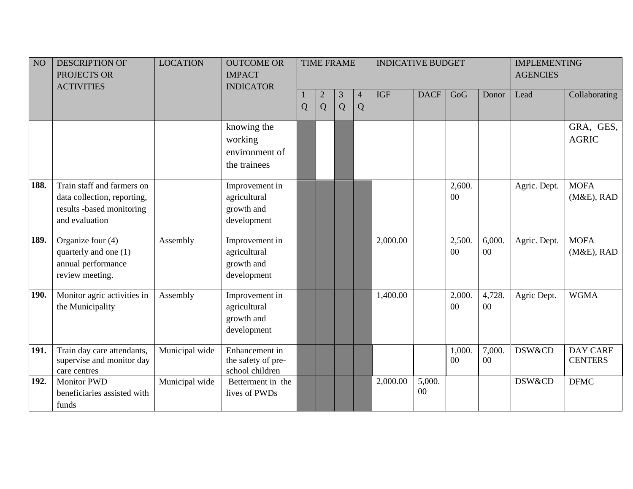| NO <sub>1</sub> | <b>DESCRIPTION OF</b><br>PROJECTS OR                                                                     | <b>LOCATION</b> | <b>OUTCOME OR</b><br><b>IMPACT</b>                          |   |                     | <b>TIME FRAME</b> |                     | <b>INDICATIVE BUDGET</b> |              |                  |                  | <b>IMPLEMENTING</b><br><b>AGENCIES</b> |                                   |
|-----------------|----------------------------------------------------------------------------------------------------------|-----------------|-------------------------------------------------------------|---|---------------------|-------------------|---------------------|--------------------------|--------------|------------------|------------------|----------------------------------------|-----------------------------------|
|                 | <b>ACTIVITIES</b>                                                                                        |                 | <b>INDICATOR</b>                                            | Q | $\overline{c}$<br>Q | 3<br>Q            | $\overline{4}$<br>Q | <b>IGF</b>               | <b>DACF</b>  | GoG              | Donor            | Lead                                   | Collaborating                     |
|                 |                                                                                                          |                 | knowing the<br>working<br>environment of<br>the trainees    |   |                     |                   |                     |                          |              |                  |                  |                                        | GRA, GES,<br><b>AGRIC</b>         |
| 188.            | Train staff and farmers on<br>data collection, reporting,<br>results -based monitoring<br>and evaluation |                 | Improvement in<br>agricultural<br>growth and<br>development |   |                     |                   |                     |                          |              | 2,600.<br>00     |                  | Agric. Dept.                           | <b>MOFA</b><br>$(M&E)$ , RAD      |
| 189.            | Organize four (4)<br>quarterly and one (1)<br>annual performance<br>review meeting.                      | Assembly        | Improvement in<br>agricultural<br>growth and<br>development |   |                     |                   |                     | 2,000.00                 |              | 2,500.<br>00     | 6,000.<br>$00\,$ | Agric. Dept.                           | <b>MOFA</b><br>$(M&E)$ , RAD      |
| 190.            | Monitor agric activities in<br>the Municipality                                                          | Assembly        | Improvement in<br>agricultural<br>growth and<br>development |   |                     |                   |                     | 1,400.00                 |              | 2,000.<br>$00\,$ | 4,728.<br>$00\,$ | Agric Dept.                            | <b>WGMA</b>                       |
| 191.            | Train day care attendants,<br>supervise and monitor day<br>care centres                                  | Municipal wide  | Enhancement in<br>the safety of pre-<br>school children     |   |                     |                   |                     |                          |              | 1,000.<br>00     | 7,000.<br>00     | DSW&CD                                 | <b>DAY CARE</b><br><b>CENTERS</b> |
| 192.            | <b>Monitor PWD</b><br>beneficiaries assisted with<br>funds                                               | Municipal wide  | Betterment in the<br>lives of PWDs                          |   |                     |                   |                     | 2,000.00                 | 5,000.<br>00 |                  |                  | DSW&CD                                 | <b>DFMC</b>                       |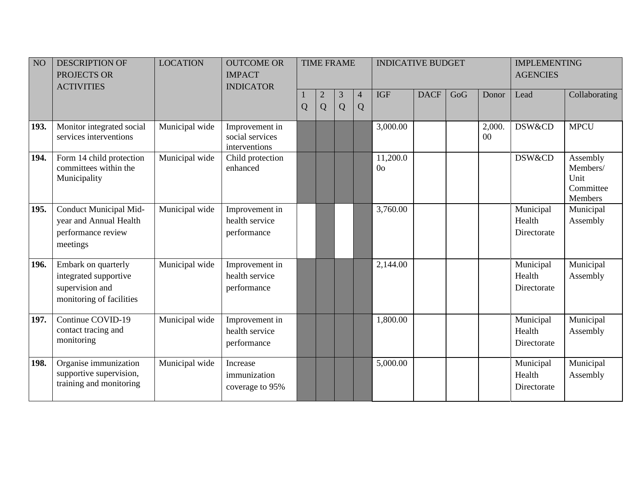| NO   | <b>DESCRIPTION OF</b><br>PROJECTS OR<br><b>ACTIVITIES</b>                                   | <b>LOCATION</b> | <b>OUTCOME OR</b><br><b>IMPACT</b><br><b>INDICATOR</b> |   |                     | <b>TIME FRAME</b> |                     | <b>INDICATIVE BUDGET</b>   |             |     |              | <b>IMPLEMENTING</b><br><b>AGENCIES</b> |                                                      |
|------|---------------------------------------------------------------------------------------------|-----------------|--------------------------------------------------------|---|---------------------|-------------------|---------------------|----------------------------|-------------|-----|--------------|----------------------------------------|------------------------------------------------------|
|      |                                                                                             |                 |                                                        | Q | $\overline{c}$<br>Q | 3<br>Q            | $\overline{4}$<br>Q | <b>IGF</b>                 | <b>DACF</b> | GoG | Donor        | Lead                                   | Collaborating                                        |
| 193. | Monitor integrated social<br>services interventions                                         | Municipal wide  | Improvement in<br>social services<br>interventions     |   |                     |                   |                     | 3,000.00                   |             |     | 2,000.<br>00 | <b>DSW&amp;CD</b>                      | <b>MPCU</b>                                          |
| 194. | Form 14 child protection<br>committees within the<br>Municipality                           | Municipal wide  | Child protection<br>enhanced                           |   |                     |                   |                     | 11,200.0<br>0 <sub>o</sub> |             |     |              | DSW&CD                                 | Assembly<br>Members/<br>Unit<br>Committee<br>Members |
| 195. | Conduct Municipal Mid-<br>year and Annual Health<br>performance review<br>meetings          | Municipal wide  | Improvement in<br>health service<br>performance        |   |                     |                   |                     | 3,760.00                   |             |     |              | Municipal<br>Health<br>Directorate     | Municipal<br>Assembly                                |
| 196. | Embark on quarterly<br>integrated supportive<br>supervision and<br>monitoring of facilities | Municipal wide  | Improvement in<br>health service<br>performance        |   |                     |                   |                     | 2,144.00                   |             |     |              | Municipal<br>Health<br>Directorate     | Municipal<br>Assembly                                |
| 197. | Continue COVID-19<br>contact tracing and<br>monitoring                                      | Municipal wide  | Improvement in<br>health service<br>performance        |   |                     |                   |                     | 1,800.00                   |             |     |              | Municipal<br>Health<br>Directorate     | Municipal<br>Assembly                                |
| 198. | Organise immunization<br>supportive supervision,<br>training and monitoring                 | Municipal wide  | Increase<br>immunization<br>coverage to 95%            |   |                     |                   |                     | 5,000.00                   |             |     |              | Municipal<br>Health<br>Directorate     | Municipal<br>Assembly                                |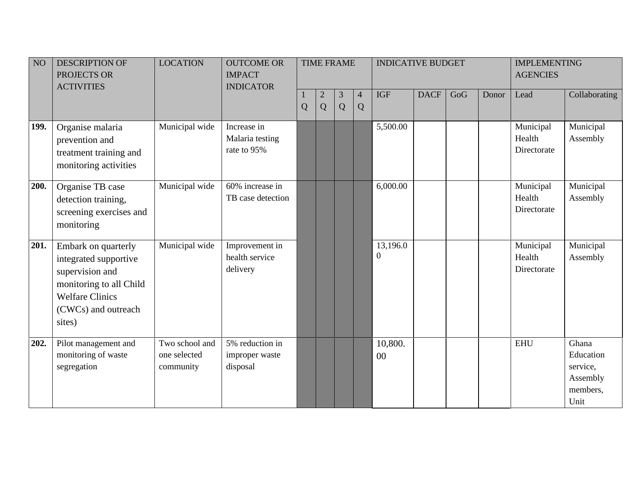| NO <sub>1</sub> | <b>DESCRIPTION OF</b><br>PROJECTS OR<br><b>ACTIVITIES</b>                                                                                             | <b>LOCATION</b>                             | <b>OUTCOME OR</b><br><b>IMPACT</b><br><b>INDICATOR</b> | <b>TIME FRAME</b> |                     |        |                     | <b>INDICATIVE BUDGET</b> |             |     | <b>IMPLEMENTING</b><br><b>AGENCIES</b> |                                    |                                                                |
|-----------------|-------------------------------------------------------------------------------------------------------------------------------------------------------|---------------------------------------------|--------------------------------------------------------|-------------------|---------------------|--------|---------------------|--------------------------|-------------|-----|----------------------------------------|------------------------------------|----------------------------------------------------------------|
|                 |                                                                                                                                                       |                                             |                                                        | Q                 | $\overline{c}$<br>Q | 3<br>Q | $\overline{4}$<br>Q | <b>IGF</b>               | <b>DACF</b> | GoG | Donor                                  | Lead                               | Collaborating                                                  |
| 199.            | Organise malaria<br>prevention and<br>treatment training and<br>monitoring activities                                                                 | Municipal wide                              | Increase in<br>Malaria testing<br>rate to 95%          |                   |                     |        |                     | 5,500.00                 |             |     |                                        | Municipal<br>Health<br>Directorate | Municipal<br>Assembly                                          |
| 200.            | Organise TB case<br>detection training,<br>screening exercises and<br>monitoring                                                                      | Municipal wide                              | 60% increase in<br>TB case detection                   |                   |                     |        |                     | 6,000.00                 |             |     |                                        | Municipal<br>Health<br>Directorate | Municipal<br>Assembly                                          |
| 201.            | Embark on quarterly<br>integrated supportive<br>supervision and<br>monitoring to all Child<br><b>Welfare Clinics</b><br>(CWCs) and outreach<br>sites) | Municipal wide                              | Improvement in<br>health service<br>delivery           |                   |                     |        |                     | 13,196.0<br>$\Omega$     |             |     |                                        | Municipal<br>Health<br>Directorate | Municipal<br>Assembly                                          |
| 202.            | Pilot management and<br>monitoring of waste<br>segregation                                                                                            | Two school and<br>one selected<br>community | 5% reduction in<br>improper waste<br>disposal          |                   |                     |        |                     | 10,800.<br>00            |             |     |                                        | <b>EHU</b>                         | Ghana<br>Education<br>service,<br>Assembly<br>members,<br>Unit |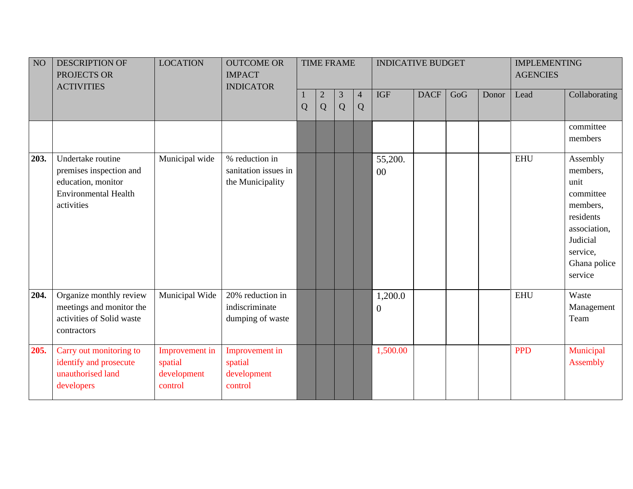| NO   | <b>DESCRIPTION OF</b><br>PROJECTS OR<br><b>ACTIVITIES</b>                                                       | <b>LOCATION</b>                                     | <b>OUTCOME OR</b><br><b>IMPACT</b><br><b>INDICATOR</b>     |   |                     | <b>TIME FRAME</b><br><b>INDICATIVE BUDGET</b> |                     |                             | <b>IMPLEMENTING</b><br><b>AGENCIES</b> |     |       |            |                                                                                                                                       |
|------|-----------------------------------------------------------------------------------------------------------------|-----------------------------------------------------|------------------------------------------------------------|---|---------------------|-----------------------------------------------|---------------------|-----------------------------|----------------------------------------|-----|-------|------------|---------------------------------------------------------------------------------------------------------------------------------------|
|      |                                                                                                                 |                                                     |                                                            | Q | $\overline{c}$<br>Q | $\mathfrak{Z}$<br>Q                           | $\overline{4}$<br>Q | <b>IGF</b>                  | <b>DACF</b>                            | GoG | Donor | Lead       | Collaborating                                                                                                                         |
|      |                                                                                                                 |                                                     |                                                            |   |                     |                                               |                     |                             |                                        |     |       |            | committee<br>members                                                                                                                  |
| 203. | Undertake routine<br>premises inspection and<br>education, monitor<br><b>Environmental Health</b><br>activities | Municipal wide                                      | % reduction in<br>sanitation issues in<br>the Municipality |   |                     |                                               |                     | 55,200.<br>$00\,$           |                                        |     |       | <b>EHU</b> | Assembly<br>members,<br>unit<br>committee<br>members,<br>residents<br>association,<br>Judicial<br>service,<br>Ghana police<br>service |
| 204. | Organize monthly review<br>meetings and monitor the<br>activities of Solid waste<br>contractors                 | Municipal Wide                                      | 20% reduction in<br>indiscriminate<br>dumping of waste     |   |                     |                                               |                     | 1,200.0<br>$\boldsymbol{0}$ |                                        |     |       | <b>EHU</b> | Waste<br>Management<br>Team                                                                                                           |
| 205. | Carry out monitoring to<br>identify and prosecute<br>unauthorised land<br>developers                            | Improvement in<br>spatial<br>development<br>control | Improvement in<br>spatial<br>development<br>control        |   |                     |                                               |                     | 1,500.00                    |                                        |     |       | <b>PPD</b> | Municipal<br>Assembly                                                                                                                 |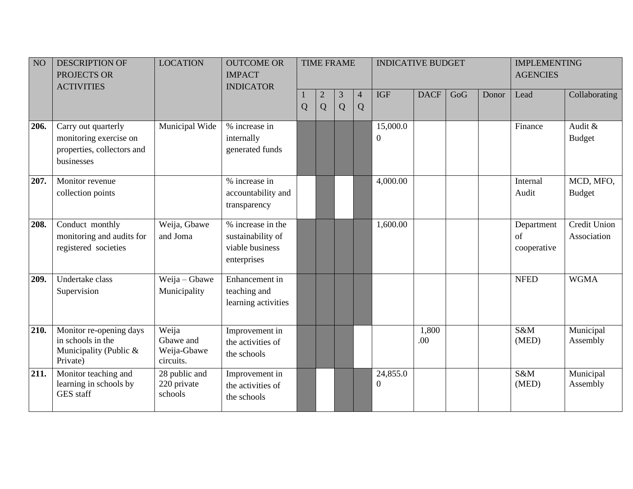| NO   | <b>DESCRIPTION OF</b><br>PROJECTS OR<br><b>ACTIVITIES</b>                                 | <b>LOCATION</b>                                | <b>OUTCOME OR</b><br><b>IMPACT</b><br><b>INDICATOR</b>                   |   |                     | <b>TIME FRAME</b> |                     | <b>INDICATIVE BUDGET</b>     |              |     |       | <b>IMPLEMENTING</b><br><b>AGENCIES</b> |                             |
|------|-------------------------------------------------------------------------------------------|------------------------------------------------|--------------------------------------------------------------------------|---|---------------------|-------------------|---------------------|------------------------------|--------------|-----|-------|----------------------------------------|-----------------------------|
|      |                                                                                           |                                                |                                                                          | Q | $\overline{2}$<br>Q | 3<br>Q            | $\overline{4}$<br>Q | <b>IGF</b>                   | <b>DACF</b>  | GoG | Donor | Lead                                   | Collaborating               |
| 206. | Carry out quarterly<br>monitoring exercise on<br>properties, collectors and<br>businesses | Municipal Wide                                 | % increase in<br>internally<br>generated funds                           |   |                     |                   |                     | 15,000.0<br>$\boldsymbol{0}$ |              |     |       | Finance                                | Audit &<br><b>Budget</b>    |
| 207. | Monitor revenue<br>collection points                                                      |                                                | % increase in<br>accountability and<br>transparency                      |   |                     |                   |                     | 4,000.00                     |              |     |       | Internal<br>Audit                      | MCD, MFO,<br><b>Budget</b>  |
| 208. | Conduct monthly<br>monitoring and audits for<br>registered societies                      | Weija, Gbawe<br>and Joma                       | % increase in the<br>sustainability of<br>viable business<br>enterprises |   |                     |                   |                     | 1,600.00                     |              |     |       | Department<br>of<br>cooperative        | Credit Union<br>Association |
| 209. | Undertake class<br>Supervision                                                            | Weija - Gbawe<br>Municipality                  | Enhancement in<br>teaching and<br>learning activities                    |   |                     |                   |                     |                              |              |     |       | <b>NFED</b>                            | <b>WGMA</b>                 |
| 210. | Monitor re-opening days<br>in schools in the<br>Municipality (Public &<br>Private)        | Weija<br>Gbawe and<br>Weija-Gbawe<br>circuits. | Improvement in<br>the activities of<br>the schools                       |   |                     |                   |                     |                              | 1,800<br>.00 |     |       | S&M<br>(MED)                           | Municipal<br>Assembly       |
| 211. | Monitor teaching and<br>learning in schools by<br><b>GES</b> staff                        | 28 public and<br>220 private<br>schools        | Improvement in<br>the activities of<br>the schools                       |   |                     |                   |                     | 24,855.0<br>$\overline{0}$   |              |     |       | S&M<br>(MED)                           | Municipal<br>Assembly       |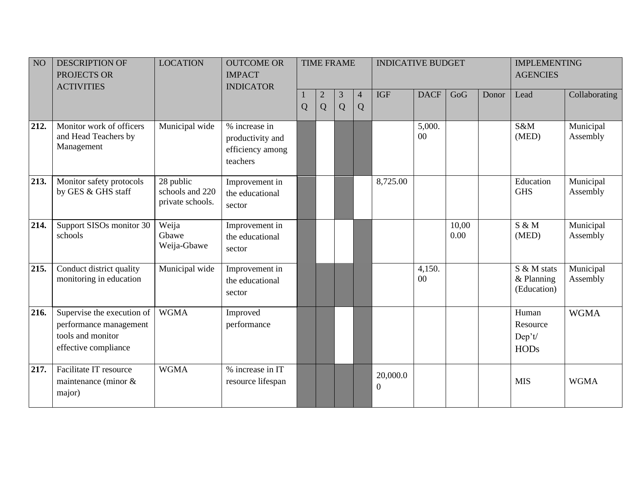| NO   | <b>DESCRIPTION OF</b><br>PROJECTS OR<br><b>ACTIVITIES</b>                                         | <b>LOCATION</b>                                  | <b>OUTCOME OR</b><br><b>IMPACT</b><br><b>INDICATOR</b>            |   |        | <b>TIME FRAME</b> |                     | <b>INDICATIVE BUDGET</b>     |              |               | <b>IMPLEMENTING</b><br><b>AGENCIES</b> |                                            |                       |
|------|---------------------------------------------------------------------------------------------------|--------------------------------------------------|-------------------------------------------------------------------|---|--------|-------------------|---------------------|------------------------------|--------------|---------------|----------------------------------------|--------------------------------------------|-----------------------|
|      |                                                                                                   |                                                  |                                                                   | Q | 2<br>Q | 3<br>Q            | $\overline{4}$<br>Q | <b>IGF</b>                   | <b>DACF</b>  | GoG           | Donor                                  | Lead                                       | Collaborating         |
| 212. | Monitor work of officers<br>and Head Teachers by<br>Management                                    | Municipal wide                                   | % increase in<br>productivity and<br>efficiency among<br>teachers |   |        |                   |                     |                              | 5,000.<br>00 |               |                                        | S&M<br>(MED)                               | Municipal<br>Assembly |
| 213. | Monitor safety protocols<br>by GES & GHS staff                                                    | 28 public<br>schools and 220<br>private schools. | Improvement in<br>the educational<br>sector                       |   |        |                   |                     | 8,725.00                     |              |               |                                        | Education<br><b>GHS</b>                    | Municipal<br>Assembly |
| 214. | Support SISOs monitor 30<br>schools                                                               | Weija<br>Gbawe<br>Weija-Gbawe                    | Improvement in<br>the educational<br>sector                       |   |        |                   |                     |                              |              | 10,00<br>0.00 |                                        | $S \& M$<br>(MED)                          | Municipal<br>Assembly |
| 215. | Conduct district quality<br>monitoring in education                                               | Municipal wide                                   | Improvement in<br>the educational<br>sector                       |   |        |                   |                     |                              | 4,150.<br>00 |               |                                        | S & M stats<br>$&$ Planning<br>(Education) | Municipal<br>Assembly |
| 216. | Supervise the execution of<br>performance management<br>tools and monitor<br>effective compliance | <b>WGMA</b>                                      | Improved<br>performance                                           |   |        |                   |                     |                              |              |               |                                        | Human<br>Resource<br>Dep't/<br><b>HODs</b> | <b>WGMA</b>           |
| 217. | Facilitate IT resource<br>maintenance (minor $\&$<br>major)                                       | <b>WGMA</b>                                      | % increase in IT<br>resource lifespan                             |   |        |                   |                     | 20,000.0<br>$\boldsymbol{0}$ |              |               |                                        | <b>MIS</b>                                 | <b>WGMA</b>           |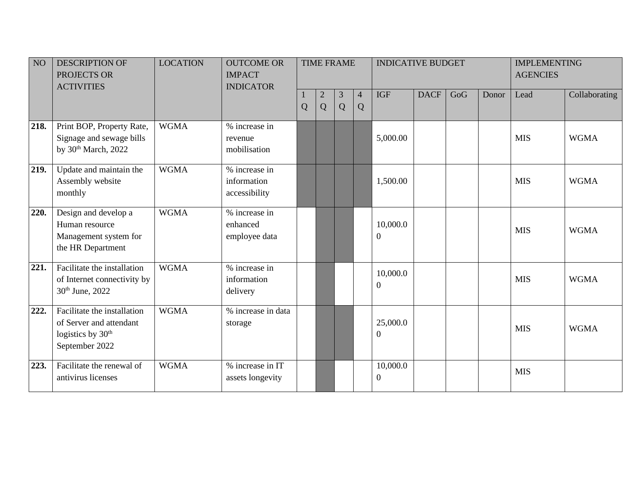| NO   | <b>DESCRIPTION OF</b><br>PROJECTS OR<br><b>ACTIVITIES</b>                                                 | <b>LOCATION</b> | <b>OUTCOME OR</b><br><b>IMPACT</b><br><b>INDICATOR</b> |             |                   | <b>TIME FRAME</b> |                     | <b>INDICATIVE BUDGET</b>     |             |     | <b>IMPLEMENTING</b><br><b>AGENCIES</b> |            |               |
|------|-----------------------------------------------------------------------------------------------------------|-----------------|--------------------------------------------------------|-------------|-------------------|-------------------|---------------------|------------------------------|-------------|-----|----------------------------------------|------------|---------------|
|      |                                                                                                           |                 |                                                        | $\mathbf Q$ | $\mathbf{2}$<br>Q | 3<br>Q            | $\overline{4}$<br>Q | <b>IGF</b>                   | <b>DACF</b> | GoG | Donor                                  | Lead       | Collaborating |
| 218. | Print BOP, Property Rate,<br>Signage and sewage bills<br>by 30 <sup>th</sup> March, 2022                  | <b>WGMA</b>     | % increase in<br>revenue<br>mobilisation               |             |                   |                   |                     | 5,000.00                     |             |     |                                        | <b>MIS</b> | <b>WGMA</b>   |
| 219. | Update and maintain the<br>Assembly website<br>monthly                                                    | <b>WGMA</b>     | % increase in<br>information<br>accessibility          |             |                   |                   |                     | 1,500.00                     |             |     |                                        | <b>MIS</b> | <b>WGMA</b>   |
| 220. | Design and develop a<br>Human resource<br>Management system for<br>the HR Department                      | <b>WGMA</b>     | % increase in<br>enhanced<br>employee data             |             |                   |                   |                     | 10,000.0<br>$\boldsymbol{0}$ |             |     |                                        | <b>MIS</b> | <b>WGMA</b>   |
| 221. | Facilitate the installation<br>of Internet connectivity by<br>30 <sup>th</sup> June, 2022                 | <b>WGMA</b>     | % increase in<br>information<br>delivery               |             |                   |                   |                     | 10,000.0<br>0                |             |     |                                        | <b>MIS</b> | <b>WGMA</b>   |
| 222. | Facilitate the installation<br>of Server and attendant<br>logistics by 30 <sup>th</sup><br>September 2022 | <b>WGMA</b>     | % increase in data<br>storage                          |             |                   |                   |                     | 25,000.0<br>$\overline{0}$   |             |     |                                        | <b>MIS</b> | <b>WGMA</b>   |
| 223. | Facilitate the renewal of<br>antivirus licenses                                                           | <b>WGMA</b>     | % increase in IT<br>assets longevity                   |             |                   |                   |                     | 10,000.0<br>$\boldsymbol{0}$ |             |     |                                        | <b>MIS</b> |               |